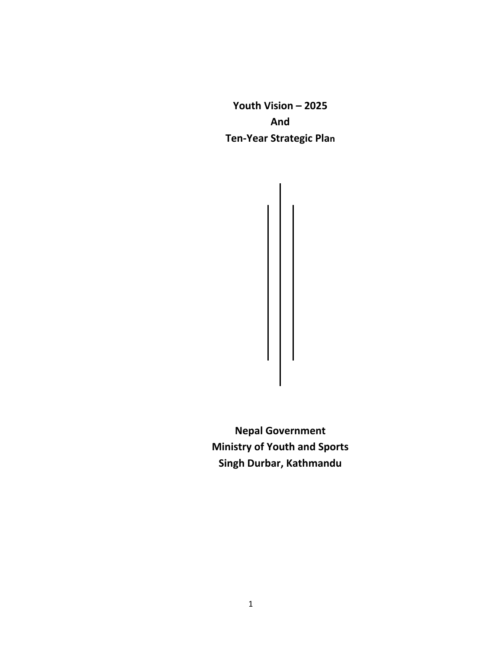**Youth Vision – 2025 And Ten-Year Strategic Plan**

**Nepal Government Ministry of Youth and Sports Singh Durbar, Kathmandu**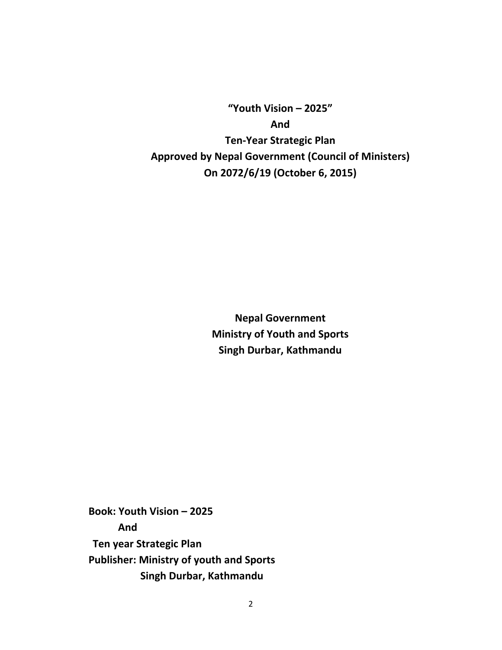**"Youth Vision – 2025" And Ten-Year Strategic Plan Approved by Nepal Government (Council of Ministers) On 2072/6/19 (October 6, 2015)**

> **Nepal Government Ministry of Youth and Sports Singh Durbar, Kathmandu**

**Book: Youth Vision – 2025 And Ten year Strategic Plan Publisher: Ministry of youth and Sports Singh Durbar, Kathmandu**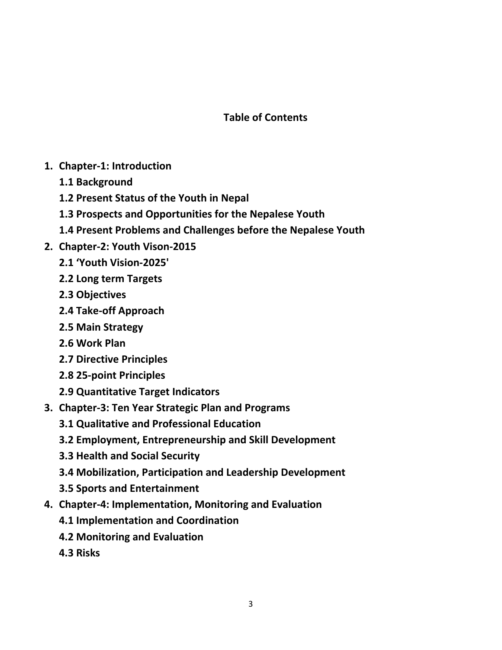## **Table of Contents**

- **1. Chapter-1: Introduction**
	- **1.1 Background**
	- **1.2 Present Status of the Youth in Nepal**
	- **1.3 Prospects and Opportunities for the Nepalese Youth**
	- **1.4 Present Problems and Challenges before the Nepalese Youth**
- **2. Chapter-2: Youth Vison-2015**
	- **2.1 'Youth Vision-2025'**
	- **2.2 Long term Targets**
	- **2.3 Objectives**
	- **2.4 Take-off Approach**
	- **2.5 Main Strategy**
	- **2.6 Work Plan**
	- **2.7 Directive Principles**
	- **2.8 25-point Principles**
	- **2.9 Quantitative Target Indicators**
- **3. Chapter-3: Ten Year Strategic Plan and Programs**
	- **3.1 Qualitative and Professional Education**
	- **3.2 Employment, Entrepreneurship and Skill Development**
	- **3.3 Health and Social Security**
	- **3.4 Mobilization, Participation and Leadership Development**
	- **3.5 Sports and Entertainment**
- **4. Chapter-4: Implementation, Monitoring and Evaluation** 
	- **4.1 Implementation and Coordination**
	- **4.2 Monitoring and Evaluation**
	- **4.3 Risks**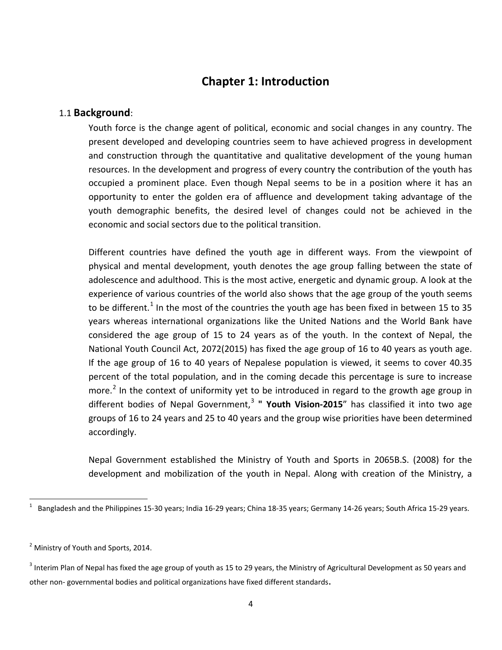### **Chapter 1: Introduction**

#### 1.1 **Background**:

Youth force is the change agent of political, economic and social changes in any country. The present developed and developing countries seem to have achieved progress in development and construction through the quantitative and qualitative development of the young human resources. In the development and progress of every country the contribution of the youth has occupied a prominent place. Even though Nepal seems to be in a position where it has an opportunity to enter the golden era of affluence and development taking advantage of the youth demographic benefits, the desired level of changes could not be achieved in the economic and social sectors due to the political transition.

Different countries have defined the youth age in different ways. From the viewpoint of physical and mental development, youth denotes the age group falling between the state of adolescence and adulthood. This is the most active, energetic and dynamic group. A look at the experience of various countries of the world also shows that the age group of the youth seems to be different.<sup>[1](#page-3-0)</sup> In the most of the countries the youth age has been fixed in between 15 to 35 years whereas international organizations like the United Nations and the World Bank have considered the age group of 15 to 24 years as of the youth. In the context of Nepal, the National Youth Council Act, 2072(2015) has fixed the age group of 16 to 40 years as youth age. If the age group of 16 to 40 years of Nepalese population is viewed, it seems to cover 40.35 percent of the total population, and in the coming decade this percentage is sure to increase more.<sup>[2](#page-3-1)</sup> In the context of uniformity yet to be introduced in regard to the growth age group in different bodies of Nepal Government,<sup>[3](#page-3-2)</sup> " **Youth Vision-2015**" has classified it into two age groups of 16 to 24 years and 25 to 40 years and the group wise priorities have been determined accordingly.

Nepal Government established the Ministry of Youth and Sports in 2065B.S. (2008) for the development and mobilization of the youth in Nepal. Along with creation of the Ministry, a

<span id="page-3-0"></span> $\overline{1}$  $1$  Bangladesh and the Philippines 15-30 years; India 16-29 years; China 18-35 years; Germany 14-26 years; South Africa 15-29 years.

<span id="page-3-1"></span><sup>&</sup>lt;sup>2</sup> Ministry of Youth and Sports, 2014.

<span id="page-3-2"></span> $3$  Interim Plan of Nepal has fixed the age group of youth as 15 to 29 years, the Ministry of Agricultural Development as 50 years and other non- governmental bodies and political organizations have fixed different standards.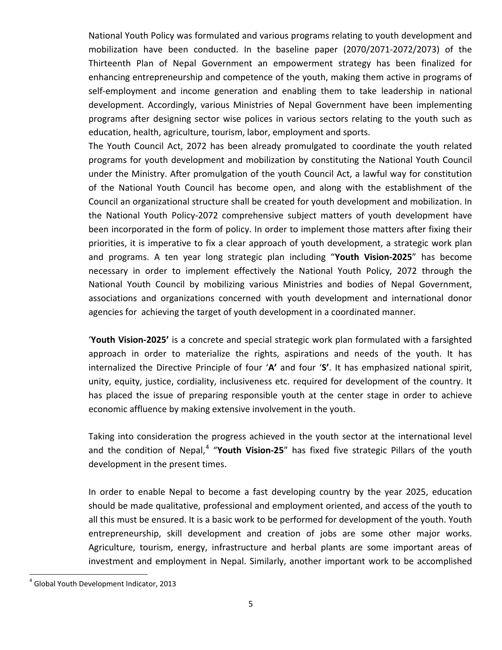National Youth Policy was formulated and various programs relating to youth development and mobilization have been conducted. In the baseline paper (2070/2071-2072/2073) of the Thirteenth Plan of Nepal Government an empowerment strategy has been finalized for enhancing entrepreneurship and competence of the youth, making them active in programs of self-employment and income generation and enabling them to take leadership in national development. Accordingly, various Ministries of Nepal Government have been implementing programs after designing sector wise polices in various sectors relating to the youth such as education, health, agriculture, tourism, labor, employment and sports.

The Youth Council Act, 2072 has been already promulgated to coordinate the youth related programs for youth development and mobilization by constituting the National Youth Council under the Ministry. After promulgation of the youth Council Act, a lawful way for constitution of the National Youth Council has become open, and along with the establishment of the Council an organizational structure shall be created for youth development and mobilization. In the National Youth Policy-2072 comprehensive subject matters of youth development have been incorporated in the form of policy. In order to implement those matters after fixing their priorities, it is imperative to fix a clear approach of youth development, a strategic work plan and programs. A ten year long strategic plan including "**Youth Vision-2025**" has become necessary in order to implement effectively the National Youth Policy, 2072 through the National Youth Council by mobilizing various Ministries and bodies of Nepal Government, associations and organizations concerned with youth development and international donor agencies for achieving the target of youth development in a coordinated manner.

'**Youth Vision-2025'** is a concrete and special strategic work plan formulated with a farsighted approach in order to materialize the rights, aspirations and needs of the youth. It has internalized the Directive Principle of four '**A'** and four '**S'**. It has emphasized national spirit, unity, equity, justice, cordiality, inclusiveness etc. required for development of the country. It has placed the issue of preparing responsible youth at the center stage in order to achieve economic affluence by making extensive involvement in the youth.

Taking into consideration the progress achieved in the youth sector at the international level and the condition of Nepal,<sup>[4](#page-4-0)</sup> "Youth Vision-25" has fixed five strategic Pillars of the youth development in the present times.

In order to enable Nepal to become a fast developing country by the year 2025, education should be made qualitative, professional and employment oriented, and access of the youth to all this must be ensured. It is a basic work to be performed for development of the youth. Youth entrepreneurship, skill development and creation of jobs are some other major works. Agriculture, tourism, energy, infrastructure and herbal plants are some important areas of investment and employment in Nepal. Similarly, another important work to be accomplished

<span id="page-4-0"></span><sup>&</sup>lt;sup>4</sup> Global Youth Development Indicator, 2013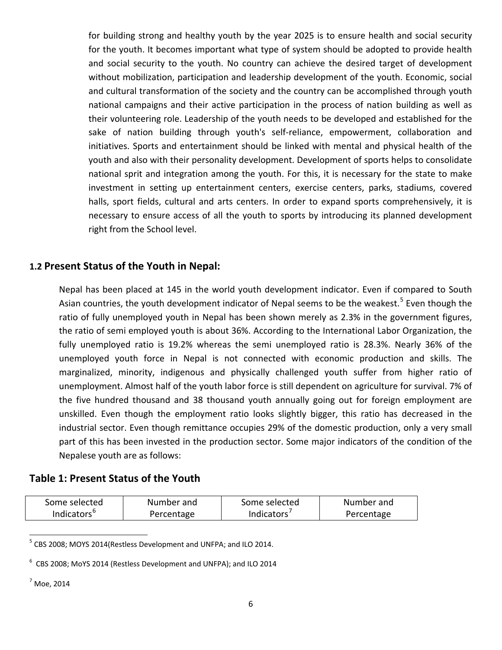for building strong and healthy youth by the year 2025 is to ensure health and social security for the youth. It becomes important what type of system should be adopted to provide health and social security to the youth. No country can achieve the desired target of development without mobilization, participation and leadership development of the youth. Economic, social and cultural transformation of the society and the country can be accomplished through youth national campaigns and their active participation in the process of nation building as well as their volunteering role. Leadership of the youth needs to be developed and established for the sake of nation building through youth's self-reliance, empowerment, collaboration and initiatives. Sports and entertainment should be linked with mental and physical health of the youth and also with their personality development. Development of sports helps to consolidate national sprit and integration among the youth. For this, it is necessary for the state to make investment in setting up entertainment centers, exercise centers, parks, stadiums, covered halls, sport fields, cultural and arts centers. In order to expand sports comprehensively, it is necessary to ensure access of all the youth to sports by introducing its planned development right from the School level.

#### **1.2 Present Status of the Youth in Nepal:**

Nepal has been placed at 145 in the world youth development indicator. Even if compared to South Asian countries, the youth development indicator of Nepal seems to be the weakest.<sup>[5](#page-5-0)</sup> Even though the ratio of fully unemployed youth in Nepal has been shown merely as 2.3% in the government figures, the ratio of semi employed youth is about 36%. According to the International Labor Organization, the fully unemployed ratio is 19.2% whereas the semi unemployed ratio is 28.3%. Nearly 36% of the unemployed youth force in Nepal is not connected with economic production and skills. The marginalized, minority, indigenous and physically challenged youth suffer from higher ratio of unemployment. Almost half of the youth labor force is still dependent on agriculture for survival. 7% of the five hundred thousand and 38 thousand youth annually going out for foreign employment are unskilled. Even though the employment ratio looks slightly bigger, this ratio has decreased in the industrial sector. Even though remittance occupies 29% of the domestic production, only a very small part of this has been invested in the production sector. Some major indicators of the condition of the Nepalese youth are as follows:

#### **Table 1: Present Status of the Youth**

| Some selected           | Number and | Some selected | Number and |
|-------------------------|------------|---------------|------------|
| Indicators <sup>c</sup> | Percentage | Indicators    | Percentage |

<span id="page-5-0"></span> $<sup>5</sup>$  CBS 2008; MOYS 2014(Restless Development and UNFPA; and ILO 2014.</sup>

 $6$  CBS 2008; MoYS 2014 (Restless Development and UNFPA); and ILO 2014

 $<sup>7</sup>$  Moe, 2014</sup>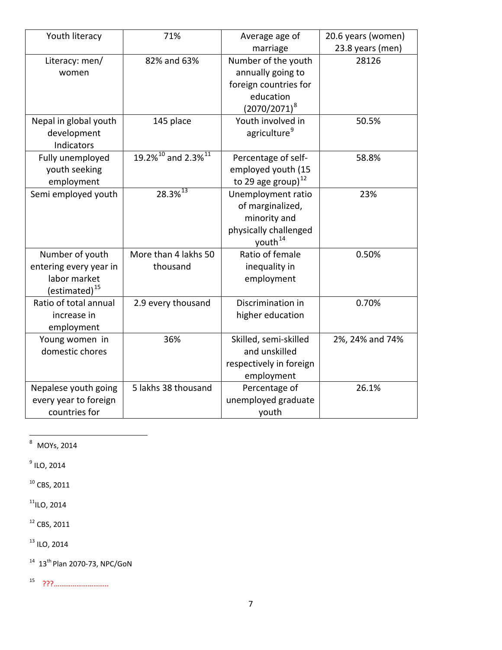| Youth literacy            | 71%                                  | Average age of           | 20.6 years (women) |
|---------------------------|--------------------------------------|--------------------------|--------------------|
|                           |                                      | marriage                 | 23.8 years (men)   |
| Literacy: men/            | 82% and 63%                          | Number of the youth      | 28126              |
| women                     |                                      | annually going to        |                    |
|                           |                                      | foreign countries for    |                    |
|                           |                                      | education                |                    |
|                           |                                      | $(2070/2071)^8$          |                    |
| Nepal in global youth     | 145 place                            | Youth involved in        | 50.5%              |
| development               |                                      | agriculture <sup>9</sup> |                    |
| Indicators                |                                      |                          |                    |
| Fully unemployed          | $19.2\%^{10}$ and 2.3% <sup>11</sup> | Percentage of self-      | 58.8%              |
| youth seeking             |                                      | employed youth (15       |                    |
| employment                |                                      | to 29 age group) $^{12}$ |                    |
| Semi employed youth       | 28.3% <sup>13</sup>                  | Unemployment ratio       | 23%                |
|                           |                                      | of marginalized,         |                    |
|                           |                                      | minority and             |                    |
|                           |                                      | physically challenged    |                    |
|                           |                                      | youth <sup>14</sup>      |                    |
| Number of youth           | More than 4 lakhs 50                 | Ratio of female          | 0.50%              |
| entering every year in    | thousand                             | inequality in            |                    |
| labor market              |                                      | employment               |                    |
| (estimated) <sup>15</sup> |                                      |                          |                    |
| Ratio of total annual     | 2.9 every thousand                   | Discrimination in        | 0.70%              |
| increase in               |                                      | higher education         |                    |
| employment                |                                      |                          |                    |
| Young women in            | 36%                                  | Skilled, semi-skilled    | 2%, 24% and 74%    |
| domestic chores           |                                      | and unskilled            |                    |
|                           |                                      | respectively in foreign  |                    |
|                           |                                      | employment               |                    |
| Nepalese youth going      | 5 lakhs 38 thousand                  | Percentage of            | 26.1%              |
| every year to foreign     |                                      | unemployed graduate      |                    |
| countries for             |                                      | youth                    |                    |

<span id="page-6-0"></span> $\overline{\phantom{1}8\phantom{1}}$  MOYs, 2014

 $<sup>9</sup>$  ILO, 2014</sup>

 $^{10}$  CBS, 2011

 $11$ ILO, 2014

<sup>12</sup> CBS, 2011

<sup>13</sup> ILO, 2014

 $14$  13<sup>th</sup> Plan 2070-73, NPC/GoN

15 ???………………………..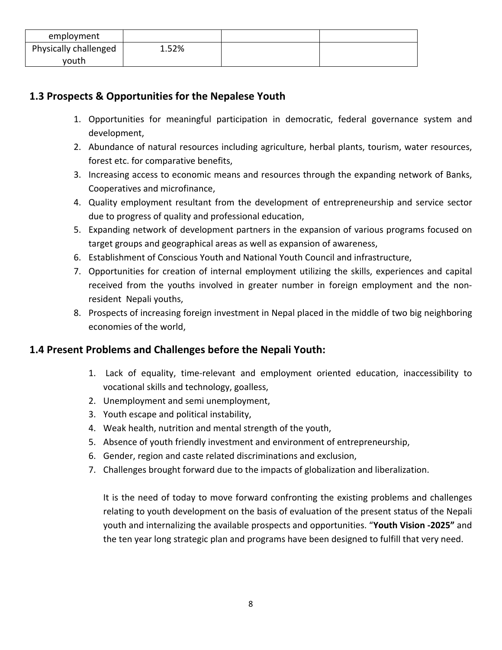| employment            |       |  |
|-----------------------|-------|--|
| Physically challenged | 1.52% |  |
| vouth                 |       |  |

### **1.3 Prospects & Opportunities for the Nepalese Youth**

- 1. Opportunities for meaningful participation in democratic, federal governance system and development,
- 2. Abundance of natural resources including agriculture, herbal plants, tourism, water resources, forest etc. for comparative benefits,
- 3. Increasing access to economic means and resources through the expanding network of Banks, Cooperatives and microfinance,
- 4. Quality employment resultant from the development of entrepreneurship and service sector due to progress of quality and professional education,
- 5. Expanding network of development partners in the expansion of various programs focused on target groups and geographical areas as well as expansion of awareness,
- 6. Establishment of Conscious Youth and National Youth Council and infrastructure,
- 7. Opportunities for creation of internal employment utilizing the skills, experiences and capital received from the youths involved in greater number in foreign employment and the nonresident Nepali youths,
- 8. Prospects of increasing foreign investment in Nepal placed in the middle of two big neighboring economies of the world,

#### **1.4 Present Problems and Challenges before the Nepali Youth:**

- 1. Lack of equality, time-relevant and employment oriented education, inaccessibility to vocational skills and technology, goalless,
- 2. Unemployment and semi unemployment,
- 3. Youth escape and political instability,
- 4. Weak health, nutrition and mental strength of the youth,
- 5. Absence of youth friendly investment and environment of entrepreneurship,
- 6. Gender, region and caste related discriminations and exclusion,
- 7. Challenges brought forward due to the impacts of globalization and liberalization.

It is the need of today to move forward confronting the existing problems and challenges relating to youth development on the basis of evaluation of the present status of the Nepali youth and internalizing the available prospects and opportunities. "**Youth Vision -2025"** and the ten year long strategic plan and programs have been designed to fulfill that very need.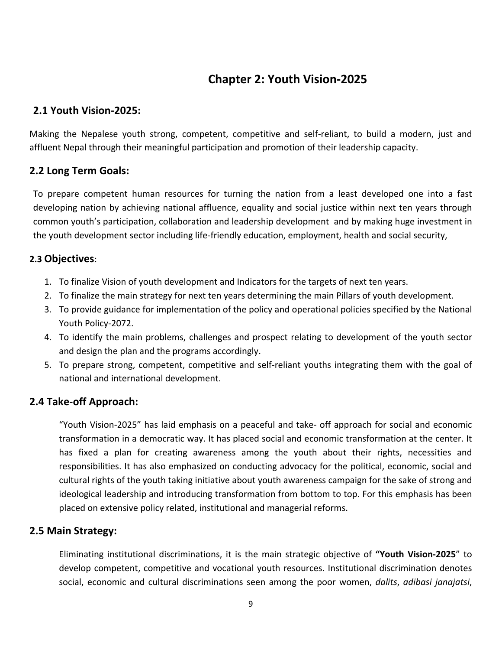# **Chapter 2: Youth Vision-2025**

#### **2.1 Youth Vision-2025:**

Making the Nepalese youth strong, competent, competitive and self-reliant, to build a modern, just and affluent Nepal through their meaningful participation and promotion of their leadership capacity.

### **2.2 Long Term Goals:**

To prepare competent human resources for turning the nation from a least developed one into a fast developing nation by achieving national affluence, equality and social justice within next ten years through common youth's participation, collaboration and leadership development and by making huge investment in the youth development sector including life-friendly education, employment, health and social security,

#### **2.3 Objectives**:

- 1. To finalize Vision of youth development and Indicators for the targets of next ten years.
- 2. To finalize the main strategy for next ten years determining the main Pillars of youth development.
- 3. To provide guidance for implementation of the policy and operational policies specified by the National Youth Policy-2072.
- 4. To identify the main problems, challenges and prospect relating to development of the youth sector and design the plan and the programs accordingly.
- 5. To prepare strong, competent, competitive and self-reliant youths integrating them with the goal of national and international development.

### **2.4 Take-off Approach:**

"Youth Vision-2025" has laid emphasis on a peaceful and take- off approach for social and economic transformation in a democratic way. It has placed social and economic transformation at the center. It has fixed a plan for creating awareness among the youth about their rights, necessities and responsibilities. It has also emphasized on conducting advocacy for the political, economic, social and cultural rights of the youth taking initiative about youth awareness campaign for the sake of strong and ideological leadership and introducing transformation from bottom to top. For this emphasis has been placed on extensive policy related, institutional and managerial reforms.

#### **2.5 Main Strategy:**

Eliminating institutional discriminations, it is the main strategic objective of **"Youth Vision-2025**" to develop competent, competitive and vocational youth resources. Institutional discrimination denotes social, economic and cultural discriminations seen among the poor women, *dalits*, *adibasi janajatsi*,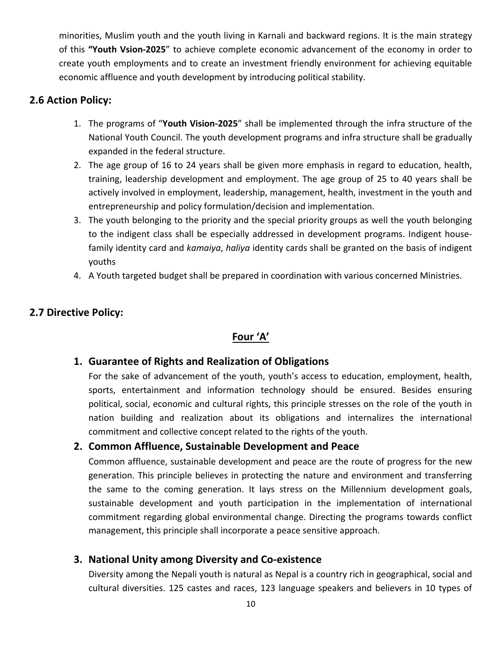minorities, Muslim youth and the youth living in Karnali and backward regions. It is the main strategy of this **"Youth Vsion-2025**" to achieve complete economic advancement of the economy in order to create youth employments and to create an investment friendly environment for achieving equitable economic affluence and youth development by introducing political stability.

#### **2.6 Action Policy:**

- 1. The programs of "**Youth Vision-2025**" shall be implemented through the infra structure of the National Youth Council. The youth development programs and infra structure shall be gradually expanded in the federal structure.
- 2. The age group of 16 to 24 years shall be given more emphasis in regard to education, health, training, leadership development and employment. The age group of 25 to 40 years shall be actively involved in employment, leadership, management, health, investment in the youth and entrepreneurship and policy formulation/decision and implementation.
- 3. The youth belonging to the priority and the special priority groups as well the youth belonging to the indigent class shall be especially addressed in development programs. Indigent housefamily identity card and *kamaiya*, *haliya* identity cards shall be granted on the basis of indigent youths
- 4. A Youth targeted budget shall be prepared in coordination with various concerned Ministries.

#### **2.7 Directive Policy:**

#### **Four 'A'**

#### **1. Guarantee of Rights and Realization of Obligations**

For the sake of advancement of the youth, youth's access to education, employment, health, sports, entertainment and information technology should be ensured. Besides ensuring political, social, economic and cultural rights, this principle stresses on the role of the youth in nation building and realization about its obligations and internalizes the international commitment and collective concept related to the rights of the youth.

#### **2. Common Affluence, Sustainable Development and Peace**

Common affluence, sustainable development and peace are the route of progress for the new generation. This principle believes in protecting the nature and environment and transferring the same to the coming generation. It lays stress on the Millennium development goals, sustainable development and youth participation in the implementation of international commitment regarding global environmental change. Directing the programs towards conflict management, this principle shall incorporate a peace sensitive approach.

#### **3. National Unity among Diversity and Co-existence**

Diversity among the Nepali youth is natural as Nepal is a country rich in geographical, social and cultural diversities. 125 castes and races, 123 language speakers and believers in 10 types of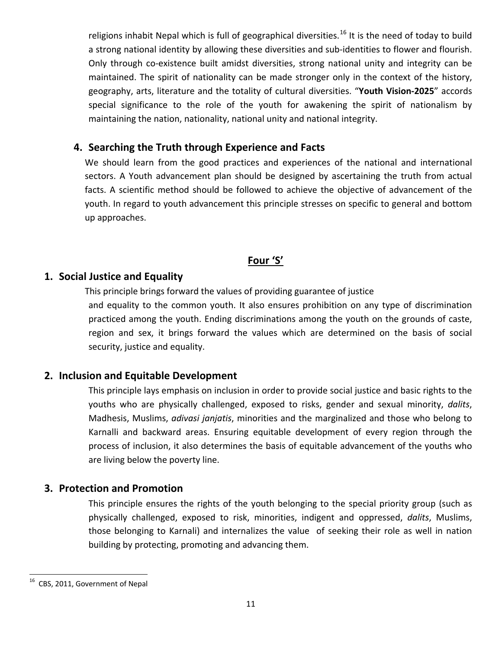religions inhabit Nepal which is full of geographical diversities.<sup>[16](#page-10-0)</sup> It is the need of today to build a strong national identity by allowing these diversities and sub-identities to flower and flourish. Only through co-existence built amidst diversities, strong national unity and integrity can be maintained. The spirit of nationality can be made stronger only in the context of the history, geography, arts, literature and the totality of cultural diversities. "**Youth Vision-2025**" accords special significance to the role of the youth for awakening the spirit of nationalism by maintaining the nation, nationality, national unity and national integrity.

#### **4. Searching the Truth through Experience and Facts**

We should learn from the good practices and experiences of the national and international sectors. A Youth advancement plan should be designed by ascertaining the truth from actual facts. A scientific method should be followed to achieve the objective of advancement of the youth. In regard to youth advancement this principle stresses on specific to general and bottom up approaches.

#### **Four 'S'**

#### **1. Social Justice and Equality**

This principle brings forward the values of providing guarantee of justice and equality to the common youth. It also ensures prohibition on any type of discrimination practiced among the youth. Ending discriminations among the youth on the grounds of caste, region and sex, it brings forward the values which are determined on the basis of social security, justice and equality.

#### **2. Inclusion and Equitable Development**

This principle lays emphasis on inclusion in order to provide social justice and basic rights to the youths who are physically challenged, exposed to risks, gender and sexual minority, *dalits*, Madhesis, Muslims, *adivasi janjatis*, minorities and the marginalized and those who belong to Karnalli and backward areas. Ensuring equitable development of every region through the process of inclusion, it also determines the basis of equitable advancement of the youths who are living below the poverty line.

#### **3. Protection and Promotion**

This principle ensures the rights of the youth belonging to the special priority group (such as physically challenged, exposed to risk, minorities, indigent and oppressed, *dalits*, Muslims, those belonging to Karnali) and internalizes the value of seeking their role as well in nation building by protecting, promoting and advancing them.

<span id="page-10-0"></span><sup>&</sup>lt;sup>16</sup> CBS, 2011, Government of Nepal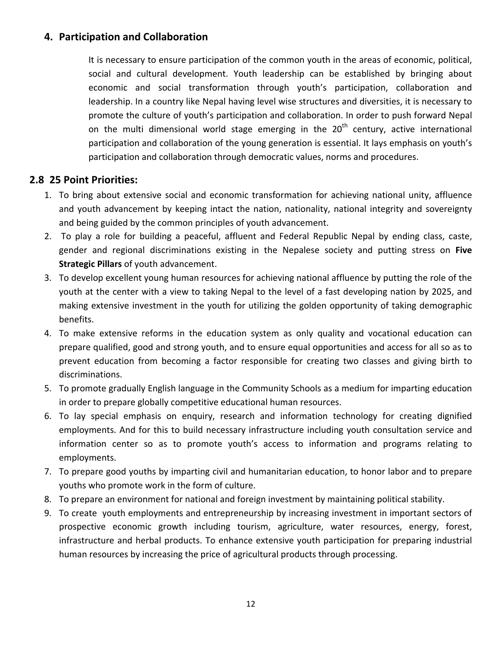#### **4. Participation and Collaboration**

It is necessary to ensure participation of the common youth in the areas of economic, political, social and cultural development. Youth leadership can be established by bringing about economic and social transformation through youth's participation, collaboration and leadership. In a country like Nepal having level wise structures and diversities, it is necessary to promote the culture of youth's participation and collaboration. In order to push forward Nepal on the multi dimensional world stage emerging in the  $20<sup>th</sup>$  century, active international participation and collaboration of the young generation is essential. It lays emphasis on youth's participation and collaboration through democratic values, norms and procedures.

#### **2.8 25 Point Priorities:**

- 1. To bring about extensive social and economic transformation for achieving national unity, affluence and youth advancement by keeping intact the nation, nationality, national integrity and sovereignty and being guided by the common principles of youth advancement.
- 2. To play a role for building a peaceful, affluent and Federal Republic Nepal by ending class, caste, gender and regional discriminations existing in the Nepalese society and putting stress on **Five Strategic Pillars** of youth advancement.
- 3. To develop excellent young human resources for achieving national affluence by putting the role of the youth at the center with a view to taking Nepal to the level of a fast developing nation by 2025, and making extensive investment in the youth for utilizing the golden opportunity of taking demographic benefits.
- 4. To make extensive reforms in the education system as only quality and vocational education can prepare qualified, good and strong youth, and to ensure equal opportunities and access for all so as to prevent education from becoming a factor responsible for creating two classes and giving birth to discriminations.
- 5. To promote gradually English language in the Community Schools as a medium for imparting education in order to prepare globally competitive educational human resources.
- 6. To lay special emphasis on enquiry, research and information technology for creating dignified employments. And for this to build necessary infrastructure including youth consultation service and information center so as to promote youth's access to information and programs relating to employments.
- 7. To prepare good youths by imparting civil and humanitarian education, to honor labor and to prepare youths who promote work in the form of culture.
- 8. To prepare an environment for national and foreign investment by maintaining political stability.
- 9. To create youth employments and entrepreneurship by increasing investment in important sectors of prospective economic growth including tourism, agriculture, water resources, energy, forest, infrastructure and herbal products. To enhance extensive youth participation for preparing industrial human resources by increasing the price of agricultural products through processing.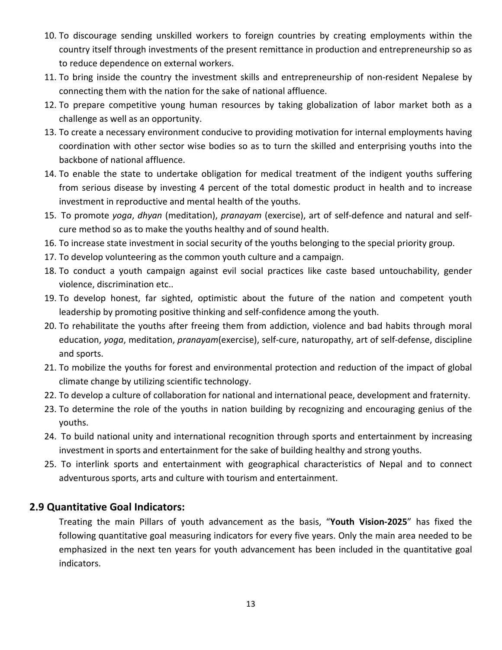- 10. To discourage sending unskilled workers to foreign countries by creating employments within the country itself through investments of the present remittance in production and entrepreneurship so as to reduce dependence on external workers.
- 11. To bring inside the country the investment skills and entrepreneurship of non-resident Nepalese by connecting them with the nation for the sake of national affluence.
- 12. To prepare competitive young human resources by taking globalization of labor market both as a challenge as well as an opportunity.
- 13. To create a necessary environment conducive to providing motivation for internal employments having coordination with other sector wise bodies so as to turn the skilled and enterprising youths into the backbone of national affluence.
- 14. To enable the state to undertake obligation for medical treatment of the indigent youths suffering from serious disease by investing 4 percent of the total domestic product in health and to increase investment in reproductive and mental health of the youths.
- 15. To promote *yoga*, *dhyan* (meditation), *pranayam* (exercise), art of self-defence and natural and selfcure method so as to make the youths healthy and of sound health.
- 16. To increase state investment in social security of the youths belonging to the special priority group.
- 17. To develop volunteering as the common youth culture and a campaign.
- 18. To conduct a youth campaign against evil social practices like caste based untouchability, gender violence, discrimination etc..
- 19. To develop honest, far sighted, optimistic about the future of the nation and competent youth leadership by promoting positive thinking and self-confidence among the youth.
- 20. To rehabilitate the youths after freeing them from addiction, violence and bad habits through moral education, *yoga*, meditation, *pranayam*(exercise), self-cure, naturopathy, art of self-defense, discipline and sports.
- 21. To mobilize the youths for forest and environmental protection and reduction of the impact of global climate change by utilizing scientific technology.
- 22. To develop a culture of collaboration for national and international peace, development and fraternity.
- 23. To determine the role of the youths in nation building by recognizing and encouraging genius of the youths.
- 24. To build national unity and international recognition through sports and entertainment by increasing investment in sports and entertainment for the sake of building healthy and strong youths.
- 25. To interlink sports and entertainment with geographical characteristics of Nepal and to connect adventurous sports, arts and culture with tourism and entertainment.

### **2.9 Quantitative Goal Indicators:**

Treating the main Pillars of youth advancement as the basis, "**Youth Vision-2025**" has fixed the following quantitative goal measuring indicators for every five years. Only the main area needed to be emphasized in the next ten years for youth advancement has been included in the quantitative goal indicators.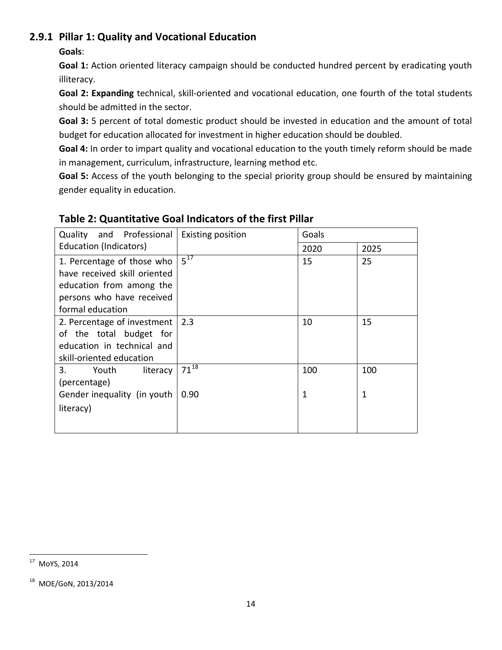### **2.9.1 Pillar 1: Quality and Vocational Education**

#### **Goals**:

**Goal 1:** Action oriented literacy campaign should be conducted hundred percent by eradicating youth illiteracy.

**Goal 2: Expanding** technical, skill-oriented and vocational education, one fourth of the total students should be admitted in the sector.

**Goal 3:** 5 percent of total domestic product should be invested in education and the amount of total budget for education allocated for investment in higher education should be doubled.

**Goal 4:** In order to impart quality and vocational education to the youth timely reform should be made in management, curriculum, infrastructure, learning method etc.

**Goal 5:** Access of the youth belonging to the special priority group should be ensured by maintaining gender equality in education.

| and Professional<br><b>Quality</b>                                                                                                      | <b>Existing position</b> | Goals |      |
|-----------------------------------------------------------------------------------------------------------------------------------------|--------------------------|-------|------|
| Education (Indicators)                                                                                                                  |                          | 2020  | 2025 |
| 1. Percentage of those who<br>have received skill oriented<br>education from among the<br>persons who have received<br>formal education | $5^{\overline{17}}$      | 15    | 25   |
| 2. Percentage of investment<br>of the total budget for<br>education in technical and<br>skill-oriented education                        | 2.3                      | 10    | 15   |
| 3.<br>literacy<br>Youth<br>(percentage)                                                                                                 | $71^{18}$                | 100   | 100  |
| Gender inequality (in youth<br>literacy)                                                                                                | 0.90                     | 1     | 1    |

### **Table 2: Quantitative Goal Indicators of the first Pillar**

<span id="page-13-0"></span> <sup>17</sup> MoYS, 2014

<sup>18</sup> MOE/GoN, 2013/2014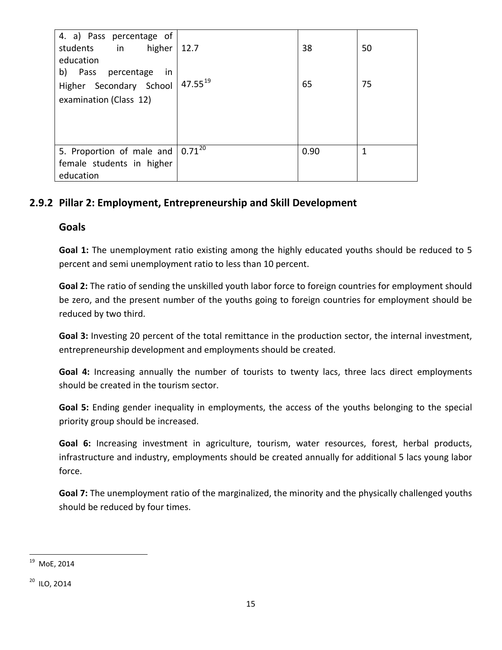| 4. a) Pass percentage of<br>higher   12.7<br>students in |              | 38   | 50 |
|----------------------------------------------------------|--------------|------|----|
| education                                                |              |      |    |
| b) Pass percentage<br>- in                               |              |      |    |
| Higher Secondary School                                  | $47.55^{19}$ | 65   | 75 |
| examination (Class 12)                                   |              |      |    |
|                                                          |              |      |    |
|                                                          |              |      |    |
|                                                          |              |      |    |
| 5. Proportion of male and $\sqrt{0.71^{20}}$             |              | 0.90 | 1  |
| female students in higher                                |              |      |    |
| education                                                |              |      |    |

### **2.9.2 Pillar 2: Employment, Entrepreneurship and Skill Development**

#### **Goals**

**Goal 1:** The unemployment ratio existing among the highly educated youths should be reduced to 5 percent and semi unemployment ratio to less than 10 percent.

**Goal 2:** The ratio of sending the unskilled youth labor force to foreign countries for employment should be zero, and the present number of the youths going to foreign countries for employment should be reduced by two third.

**Goal 3:** Investing 20 percent of the total remittance in the production sector, the internal investment, entrepreneurship development and employments should be created.

**Goal 4:** Increasing annually the number of tourists to twenty lacs, three lacs direct employments should be created in the tourism sector.

**Goal 5:** Ending gender inequality in employments, the access of the youths belonging to the special priority group should be increased.

**Goal 6:** Increasing investment in agriculture, tourism, water resources, forest, herbal products, infrastructure and industry, employments should be created annually for additional 5 lacs young labor force.

**Goal 7:** The unemployment ratio of the marginalized, the minority and the physically challenged youths should be reduced by four times.

<span id="page-14-0"></span> <sup>19</sup> MoE, 2014

<sup>20</sup> ILO, 2O14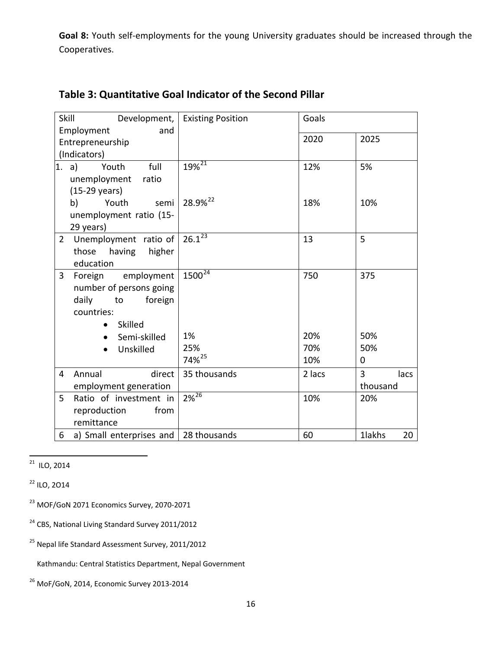**Goal 8:** Youth self-employments for the young University graduates should be increased through the Cooperatives.

| Skill          | Development,              | <b>Existing Position</b> | Goals  |              |
|----------------|---------------------------|--------------------------|--------|--------------|
|                | Employment<br>and         |                          |        |              |
|                | Entrepreneurship          |                          | 2020   | 2025         |
|                | (Indicators)              |                          |        |              |
| 1. a)          | full<br>Youth             | $19\sqrt[2]{21}$         | 12%    | 5%           |
|                | unemployment<br>ratio     |                          |        |              |
|                | (15-29 years)             |                          |        |              |
|                | Youth<br>b)<br>semi       | 28.9% <sup>22</sup>      | 18%    | 10%          |
|                | unemployment ratio (15-   |                          |        |              |
|                | 29 years)                 |                          |        |              |
| $\overline{2}$ | Unemployment ratio of     | $26.1^{23}$              | 13     | 5            |
|                | those<br>having<br>higher |                          |        |              |
|                | education                 |                          |        |              |
| 3              | employment<br>Foreign     | $1500^{24}$              | 750    | 375          |
|                | number of persons going   |                          |        |              |
|                | daily<br>foreign<br>to    |                          |        |              |
|                | countries:                |                          |        |              |
|                | Skilled                   |                          |        |              |
|                | Semi-skilled              | 1%                       | 20%    | 50%          |
|                | Unskilled<br>$\bullet$    | 25%                      | 70%    | 50%          |
|                |                           | 74% <sup>25</sup>        | 10%    | 0            |
| 4              | Annual<br>direct          | 35 thousands             | 2 lacs | 3<br>lacs    |
|                | employment generation     |                          |        | thousand     |
| 5              | Ratio of investment in    | $2\sqrt{2^{6}}$          | 10%    | 20%          |
|                | reproduction<br>from      |                          |        |              |
|                | remittance                |                          |        |              |
| 6              | a) Small enterprises and  | 28 thousands             | 60     | 1lakhs<br>20 |

### **Table 3: Quantitative Goal Indicator of the Second Pillar**

<span id="page-15-0"></span> $21$  ILO, 2014

 $22$  ILO, 2014

<sup>23</sup> MOF/GoN 2071 Economics Survey, 2070-2071

- <sup>24</sup> CBS, National Living Standard Survey 2011/2012
- <sup>25</sup> Nepal life Standard Assessment Survey, 2011/2012
	- Kathmandu: Central Statistics Department, Nepal Government

<sup>&</sup>lt;sup>26</sup> MoF/GoN, 2014, Economic Survey 2013-2014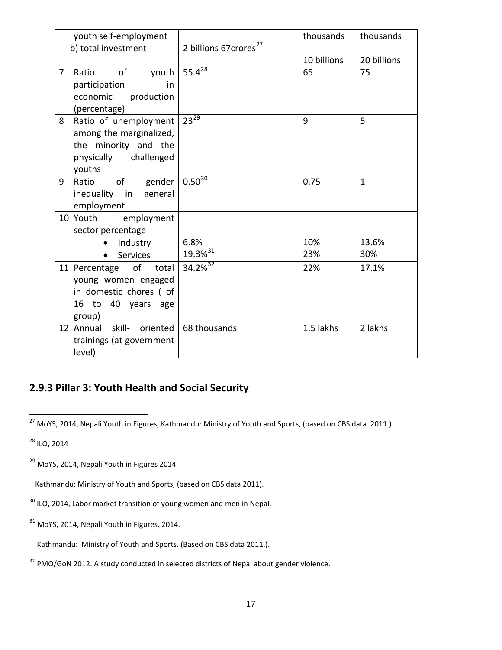|                | youth self-employment               |                                   | thousands   | thousands    |
|----------------|-------------------------------------|-----------------------------------|-------------|--------------|
|                | b) total investment                 | 2 billions 67crores <sup>27</sup> |             |              |
|                |                                     |                                   | 10 billions | 20 billions  |
| $\overline{7}$ | of<br>youth<br>Ratio                | $55.4^{28}$                       | 65          | 75           |
|                | participation<br>in                 |                                   |             |              |
|                | economic<br>production              |                                   |             |              |
|                | (percentage)                        |                                   |             |              |
| 8              | Ratio of unemployment               | $23^{29}$                         | 9           | 5            |
|                | among the marginalized,             |                                   |             |              |
|                | the minority and the                |                                   |             |              |
|                | physically<br>challenged            |                                   |             |              |
|                | youths                              | $0.50\overline{30}$               |             |              |
| 9              | of<br>gender<br>Ratio               |                                   | 0.75        | $\mathbf{1}$ |
|                | inequality in general<br>employment |                                   |             |              |
|                | 10 Youth<br>employment              |                                   |             |              |
|                | sector percentage                   |                                   |             |              |
|                | Industry                            | 6.8%                              | 10%         | 13.6%        |
|                | Services<br>$\bullet$               | 19.3% <sup>31</sup>               | 23%         | 30%          |
|                | 11 Percentage of total              | $34.2%^{32}$                      | 22%         | 17.1%        |
|                | young women engaged                 |                                   |             |              |
|                | in domestic chores ( of             |                                   |             |              |
|                | 16 to 40 years age                  |                                   |             |              |
|                | group)                              |                                   |             |              |
|                | 12 Annual skill- oriented           | 68 thousands                      | 1.5 lakhs   | 2 lakhs      |
|                | trainings (at government            |                                   |             |              |
|                | level)                              |                                   |             |              |

# **2.9.3 Pillar 3: Youth Health and Social Security**

<sup>28</sup> ILO, 2014

<span id="page-16-0"></span><sup>&</sup>lt;sup>27</sup> MoYS, 2014, Nepali Youth in Figures, Kathmandu: Ministry of Youth and Sports, (based on CBS data 2011.)

<sup>&</sup>lt;sup>29</sup> MoYS, 2014, Nepali Youth in Figures 2014.

Kathmandu: Ministry of Youth and Sports, (based on CBS data 2011).

<sup>&</sup>lt;sup>30</sup> ILO, 2014, Labor market transition of young women and men in Nepal.

<sup>&</sup>lt;sup>31</sup> MoYS, 2014, Nepali Youth in Figures, 2014.

Kathmandu: Ministry of Youth and Sports. (Based on CBS data 2011.).

<sup>&</sup>lt;sup>32</sup> PMO/GoN 2012. A study conducted in selected districts of Nepal about gender violence.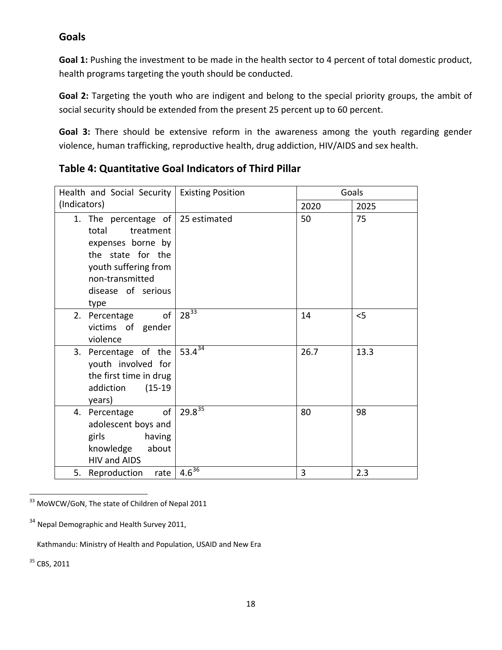#### **Goals**

**Goal 1:** Pushing the investment to be made in the health sector to 4 percent of total domestic product, health programs targeting the youth should be conducted.

**Goal 2:** Targeting the youth who are indigent and belong to the special priority groups, the ambit of social security should be extended from the present 25 percent up to 60 percent.

**Goal 3:** There should be extensive reform in the awareness among the youth regarding gender violence, human trafficking, reproductive health, drug addiction, HIV/AIDS and sex health.

| Health and Social Security                                                                                                                                                         | <b>Existing Position</b> |      | Goals |
|------------------------------------------------------------------------------------------------------------------------------------------------------------------------------------|--------------------------|------|-------|
| (Indicators)                                                                                                                                                                       |                          | 2020 | 2025  |
| 1. The percentage of $\vert$ 25 estimated<br>total<br>treatment<br>expenses borne by<br>the state for the<br>youth suffering from<br>non-transmitted<br>disease of serious<br>type |                          | 50   | 75    |
| of<br>2. Percentage<br>victims of gender<br>violence                                                                                                                               | $28^{33}$                | 14   | $<$ 5 |
| 3. Percentage of the<br>youth involved for<br>the first time in drug<br>addiction<br>$(15-19)$<br>years)                                                                           | $53.4^{34}$              | 26.7 | 13.3  |
| of<br>4. Percentage<br>adolescent boys and<br>having<br>girls<br>knowledge<br>about<br>HIV and AIDS                                                                                | $29.8^{35}$              | 80   | 98    |
| 5. Reproduction<br>rate                                                                                                                                                            | $4.6^{\overline{36}}$    | 3    | 2.3   |

### **Table 4: Quantitative Goal Indicators of Third Pillar**

<span id="page-17-1"></span><span id="page-17-0"></span><sup>33</sup> MoWCW/GoN, The state of Children of Nepal 2011

Kathmandu: Ministry of Health and Population, USAID and New Era

<sup>35</sup> CBS, 2011

<sup>&</sup>lt;sup>34</sup> Nepal Demographic and Health Survey 2011,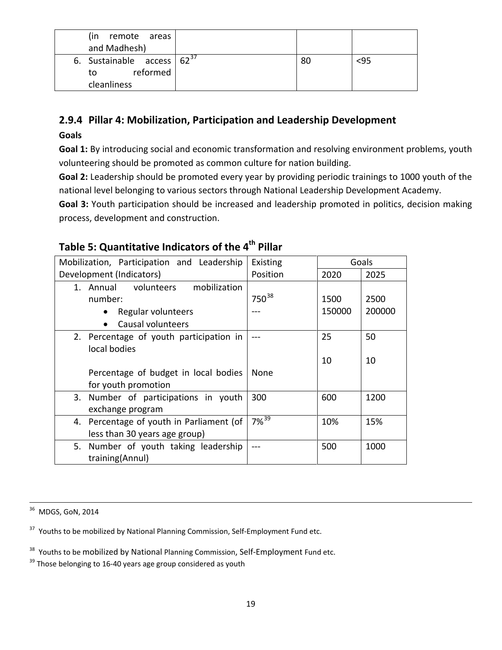| (in remote areas                |  |     |
|---------------------------------|--|-----|
| and Madhesh)                    |  |     |
| 6. Sustainable access $62^{37}$ |  | <95 |
| reformed<br>to                  |  |     |
| cleanliness                     |  |     |

## **2.9.4 Pillar 4: Mobilization, Participation and Leadership Development**

#### **Goals**

**Goal 1:** By introducing social and economic transformation and resolving environment problems, youth volunteering should be promoted as common culture for nation building.

**Goal 2:** Leadership should be promoted every year by providing periodic trainings to 1000 youth of the national level belonging to various sectors through National Leadership Development Academy.

**Goal 3:** Youth participation should be increased and leadership promoted in politics, decision making process, development and construction.

# **Table 5: Quantitative Indicators of the 4th Pillar**

| Mobilization, Participation and Leadership | Existing          |        | Goals  |
|--------------------------------------------|-------------------|--------|--------|
| Development (Indicators)                   | Position          | 2020   | 2025   |
| 1. Annual volunteers<br>mobilization       |                   |        |        |
| number:                                    | 750 <sup>38</sup> | 1500   | 2500   |
| Regular volunteers                         |                   | 150000 | 200000 |
| Causal volunteers                          |                   |        |        |
| 2. Percentage of youth participation in    |                   | 25     | 50     |
| local bodies                               |                   |        |        |
|                                            |                   | 10     | 10     |
| Percentage of budget in local bodies       | None              |        |        |
| for youth promotion                        |                   |        |        |
| 3. Number of participations in youth       | 300               | 600    | 1200   |
| exchange program                           |                   |        |        |
| 4. Percentage of youth in Parliament (of   | $7\sqrt{39}$      | 10%    | 15%    |
| less than 30 years age group)              |                   |        |        |
| 5. Number of youth taking leadership       |                   | 500    | 1000   |
| training(Annul)                            |                   |        |        |

<span id="page-18-0"></span><sup>36</sup> MDGS, GoN, 2014

<sup>37</sup> Youths to be mobilized by National Planning Commission, Self-Employment Fund etc.

<sup>38</sup> Youths to be mobilized by National Planning Commission, Self-Employment Fund etc.

<sup>39</sup> Those belonging to 16-40 years age group considered as youth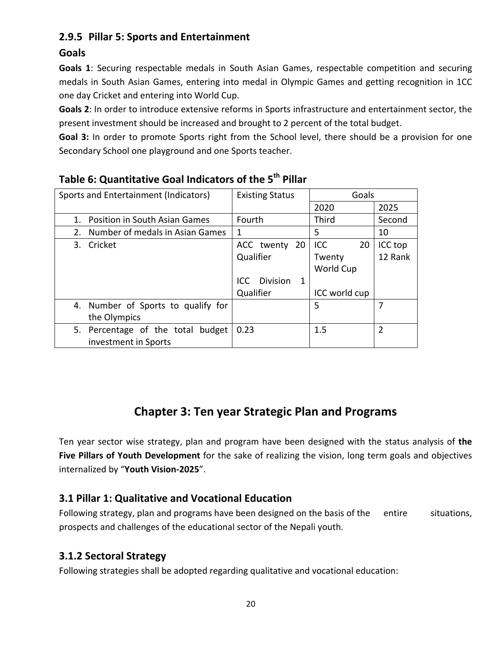## **2.9.5 Pillar 5: Sports and Entertainment**

#### **Goals**

**Goals 1**: Securing respectable medals in South Asian Games, respectable competition and securing medals in South Asian Games, entering into medal in Olympic Games and getting recognition in 1CC one day Cricket and entering into World Cup.

**Goals 2**: In order to introduce extensive reforms in Sports infrastructure and entertainment sector, the present investment should be increased and brought to 2 percent of the total budget.

**Goal 3:** In order to promote Sports right from the School level, there should be a provision for one Secondary School one playground and one Sports teacher.

| Sports and Entertainment (Indicators) | <b>Existing Status</b>       | Goals         |         |
|---------------------------------------|------------------------------|---------------|---------|
|                                       |                              | 2020          | 2025    |
| Position in South Asian Games         | Fourth                       | Third         | Second  |
| Number of medals in Asian Games<br>2. | 1                            | 5             | 10      |
| Cricket<br>3.                         | ACC twenty 20                | ICC<br>20     | ICC top |
|                                       | Qualifier                    | Twenty        | 12 Rank |
|                                       |                              | World Cup     |         |
|                                       | <b>Division</b><br>ICC.<br>1 |               |         |
|                                       | Qualifier                    | ICC world cup |         |
| 4. Number of Sports to qualify for    |                              | 5             | 7       |
| the Olympics                          |                              |               |         |
| 5. Percentage of the total budget     | 0.23                         | 1.5           | C       |
| investment in Sports                  |                              |               |         |

## **Table 6: Quantitative Goal Indicators of the 5th Pillar**

# **Chapter 3: Ten year Strategic Plan and Programs**

Ten year sector wise strategy, plan and program have been designed with the status analysis of **the Five Pillars of Youth Development** for the sake of realizing the vision, long term goals and objectives internalized by "**Youth Vision-2025**".

### **3.1 Pillar 1: Qualitative and Vocational Education**

Following strategy, plan and programs have been designed on the basis of the entire situations, prospects and challenges of the educational sector of the Nepali youth.

### **3.1.2 Sectoral Strategy**

Following strategies shall be adopted regarding qualitative and vocational education: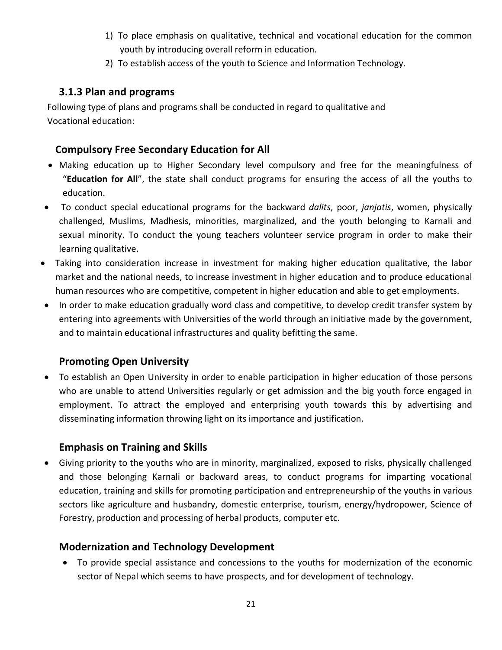- 1) To place emphasis on qualitative, technical and vocational education for the common youth by introducing overall reform in education.
- 2) To establish access of the youth to Science and Information Technology.

### **3.1.3 Plan and programs**

 Following type of plans and programs shall be conducted in regard to qualitative and Vocational education:

### **Compulsory Free Secondary Education for All**

- Making education up to Higher Secondary level compulsory and free for the meaningfulness of "**Education for All**", the state shall conduct programs for ensuring the access of all the youths to education.
- To conduct special educational programs for the backward *dalits*, poor, *janjatis*, women, physically challenged, Muslims, Madhesis, minorities, marginalized, and the youth belonging to Karnali and sexual minority. To conduct the young teachers volunteer service program in order to make their learning qualitative.
- Taking into consideration increase in investment for making higher education qualitative, the labor market and the national needs, to increase investment in higher education and to produce educational human resources who are competitive, competent in higher education and able to get employments.
- In order to make education gradually word class and competitive, to develop credit transfer system by entering into agreements with Universities of the world through an initiative made by the government, and to maintain educational infrastructures and quality befitting the same.

### **Promoting Open University**

• To establish an Open University in order to enable participation in higher education of those persons who are unable to attend Universities regularly or get admission and the big youth force engaged in employment. To attract the employed and enterprising youth towards this by advertising and disseminating information throwing light on its importance and justification.

### **Emphasis on Training and Skills**

• Giving priority to the youths who are in minority, marginalized, exposed to risks, physically challenged and those belonging Karnali or backward areas, to conduct programs for imparting vocational education, training and skills for promoting participation and entrepreneurship of the youths in various sectors like agriculture and husbandry, domestic enterprise, tourism, energy/hydropower, Science of Forestry, production and processing of herbal products, computer etc.

### **Modernization and Technology Development**

• To provide special assistance and concessions to the youths for modernization of the economic sector of Nepal which seems to have prospects, and for development of technology.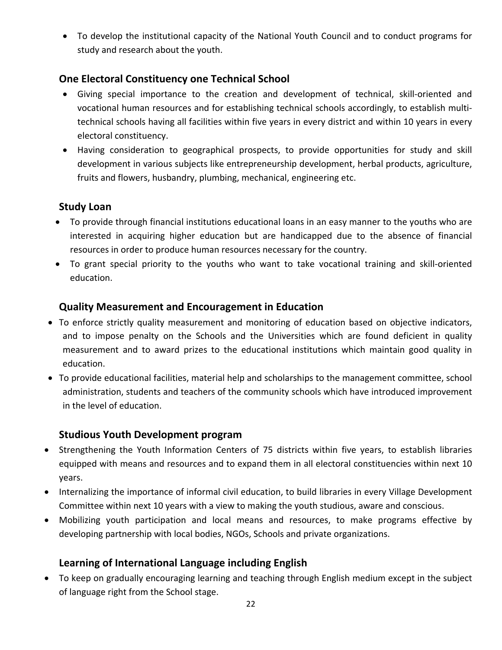• To develop the institutional capacity of the National Youth Council and to conduct programs for study and research about the youth.

### **One Electoral Constituency one Technical School**

- Giving special importance to the creation and development of technical, skill-oriented and vocational human resources and for establishing technical schools accordingly, to establish multitechnical schools having all facilities within five years in every district and within 10 years in every electoral constituency.
- Having consideration to geographical prospects, to provide opportunities for study and skill development in various subjects like entrepreneurship development, herbal products, agriculture, fruits and flowers, husbandry, plumbing, mechanical, engineering etc.

### **Study Loan**

- To provide through financial institutions educational loans in an easy manner to the youths who are interested in acquiring higher education but are handicapped due to the absence of financial resources in order to produce human resources necessary for the country.
- To grant special priority to the youths who want to take vocational training and skill-oriented education.

### **Quality Measurement and Encouragement in Education**

- To enforce strictly quality measurement and monitoring of education based on objective indicators, and to impose penalty on the Schools and the Universities which are found deficient in quality measurement and to award prizes to the educational institutions which maintain good quality in education.
- To provide educational facilities, material help and scholarships to the management committee, school administration, students and teachers of the community schools which have introduced improvement in the level of education.

### **Studious Youth Development program**

- Strengthening the Youth Information Centers of 75 districts within five years, to establish libraries equipped with means and resources and to expand them in all electoral constituencies within next 10 years.
- Internalizing the importance of informal civil education, to build libraries in every Village Development Committee within next 10 years with a view to making the youth studious, aware and conscious.
- Mobilizing youth participation and local means and resources, to make programs effective by developing partnership with local bodies, NGOs, Schools and private organizations.

### **Learning of International Language including English**

• To keep on gradually encouraging learning and teaching through English medium except in the subject of language right from the School stage.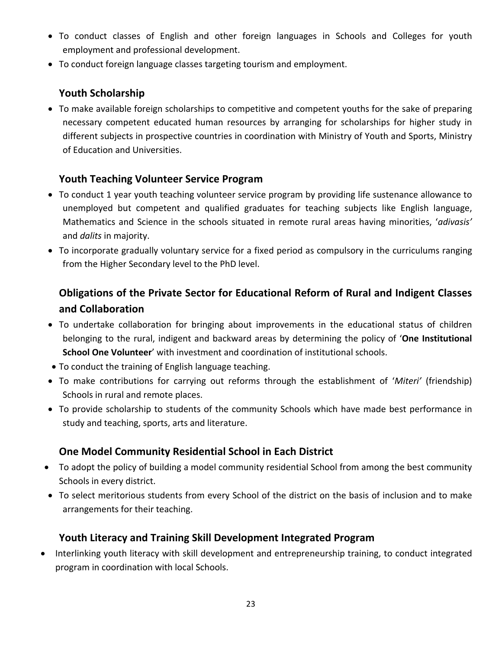- To conduct classes of English and other foreign languages in Schools and Colleges for youth employment and professional development.
- To conduct foreign language classes targeting tourism and employment.

### **Youth Scholarship**

• To make available foreign scholarships to competitive and competent youths for the sake of preparing necessary competent educated human resources by arranging for scholarships for higher study in different subjects in prospective countries in coordination with Ministry of Youth and Sports, Ministry of Education and Universities.

### **Youth Teaching Volunteer Service Program**

- To conduct 1 year youth teaching volunteer service program by providing life sustenance allowance to unemployed but competent and qualified graduates for teaching subjects like English language, Mathematics and Science in the schools situated in remote rural areas having minorities, '*adivasis'* and *dalits* in majority.
- To incorporate gradually voluntary service for a fixed period as compulsory in the curriculums ranging from the Higher Secondary level to the PhD level.

# **Obligations of the Private Sector for Educational Reform of Rural and Indigent Classes and Collaboration**

- To undertake collaboration for bringing about improvements in the educational status of children belonging to the rural, indigent and backward areas by determining the policy of '**One Institutional School One Volunteer**' with investment and coordination of institutional schools.
- To conduct the training of English language teaching.
- To make contributions for carrying out reforms through the establishment of '*Miteri'* (friendship) Schools in rural and remote places.
- To provide scholarship to students of the community Schools which have made best performance in study and teaching, sports, arts and literature.

### **One Model Community Residential School in Each District**

- To adopt the policy of building a model community residential School from among the best community Schools in every district.
- To select meritorious students from every School of the district on the basis of inclusion and to make arrangements for their teaching.

### **Youth Literacy and Training Skill Development Integrated Program**

• Interlinking youth literacy with skill development and entrepreneurship training, to conduct integrated program in coordination with local Schools.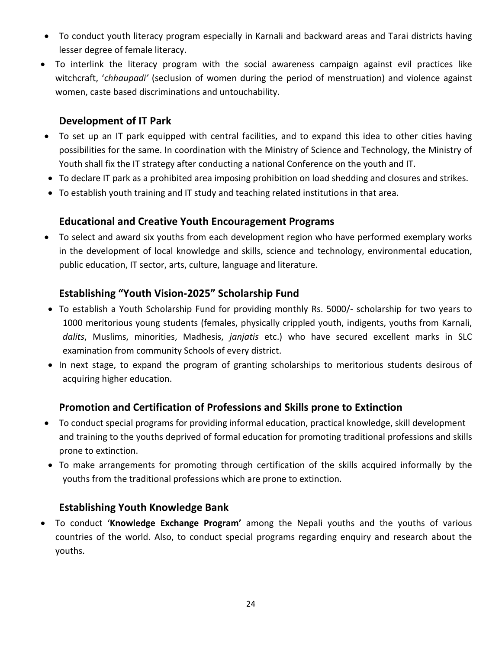- To conduct youth literacy program especially in Karnali and backward areas and Tarai districts having lesser degree of female literacy.
- To interlink the literacy program with the social awareness campaign against evil practices like witchcraft, '*chhaupadi'* (seclusion of women during the period of menstruation) and violence against women, caste based discriminations and untouchability.

#### **Development of IT Park**

- To set up an IT park equipped with central facilities, and to expand this idea to other cities having possibilities for the same. In coordination with the Ministry of Science and Technology, the Ministry of Youth shall fix the IT strategy after conducting a national Conference on the youth and IT.
- To declare IT park as a prohibited area imposing prohibition on load shedding and closures and strikes.
- To establish youth training and IT study and teaching related institutions in that area.

#### **Educational and Creative Youth Encouragement Programs**

• To select and award six youths from each development region who have performed exemplary works in the development of local knowledge and skills, science and technology, environmental education, public education, IT sector, arts, culture, language and literature.

#### **Establishing "Youth Vision-2025" Scholarship Fund**

- To establish a Youth Scholarship Fund for providing monthly Rs. 5000/- scholarship for two years to 1000 meritorious young students (females, physically crippled youth, indigents, youths from Karnali, *dalits*, Muslims, minorities, Madhesis, *janjatis* etc.) who have secured excellent marks in SLC examination from community Schools of every district.
- In next stage, to expand the program of granting scholarships to meritorious students desirous of acquiring higher education.

### **Promotion and Certification of Professions and Skills prone to Extinction**

- To conduct special programs for providing informal education, practical knowledge, skill development and training to the youths deprived of formal education for promoting traditional professions and skills prone to extinction.
- To make arrangements for promoting through certification of the skills acquired informally by the youths from the traditional professions which are prone to extinction.

#### **Establishing Youth Knowledge Bank**

• To conduct '**Knowledge Exchange Program'** among the Nepali youths and the youths of various countries of the world. Also, to conduct special programs regarding enquiry and research about the youths.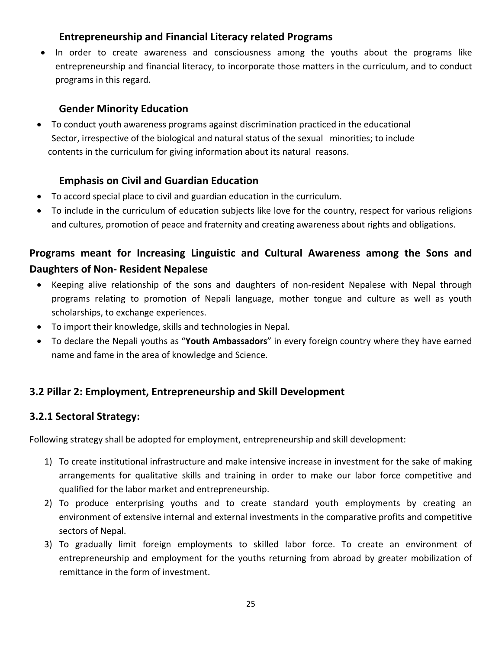### **Entrepreneurship and Financial Literacy related Programs**

• In order to create awareness and consciousness among the youths about the programs like entrepreneurship and financial literacy, to incorporate those matters in the curriculum, and to conduct programs in this regard.

### **Gender Minority Education**

• To conduct youth awareness programs against discrimination practiced in the educational Sector, irrespective of the biological and natural status of the sexual minorities; to include contents in the curriculum for giving information about its natural reasons.

### **Emphasis on Civil and Guardian Education**

- To accord special place to civil and guardian education in the curriculum.
- To include in the curriculum of education subjects like love for the country, respect for various religions and cultures, promotion of peace and fraternity and creating awareness about rights and obligations.

# **Programs meant for Increasing Linguistic and Cultural Awareness among the Sons and Daughters of Non- Resident Nepalese**

- Keeping alive relationship of the sons and daughters of non-resident Nepalese with Nepal through programs relating to promotion of Nepali language, mother tongue and culture as well as youth scholarships, to exchange experiences.
- To import their knowledge, skills and technologies in Nepal.
- To declare the Nepali youths as "**Youth Ambassadors**" in every foreign country where they have earned name and fame in the area of knowledge and Science.

### **3.2 Pillar 2: Employment, Entrepreneurship and Skill Development**

#### **3.2.1 Sectoral Strategy:**

Following strategy shall be adopted for employment, entrepreneurship and skill development:

- 1) To create institutional infrastructure and make intensive increase in investment for the sake of making arrangements for qualitative skills and training in order to make our labor force competitive and qualified for the labor market and entrepreneurship.
- 2) To produce enterprising youths and to create standard youth employments by creating an environment of extensive internal and external investments in the comparative profits and competitive sectors of Nepal.
- 3) To gradually limit foreign employments to skilled labor force. To create an environment of entrepreneurship and employment for the youths returning from abroad by greater mobilization of remittance in the form of investment.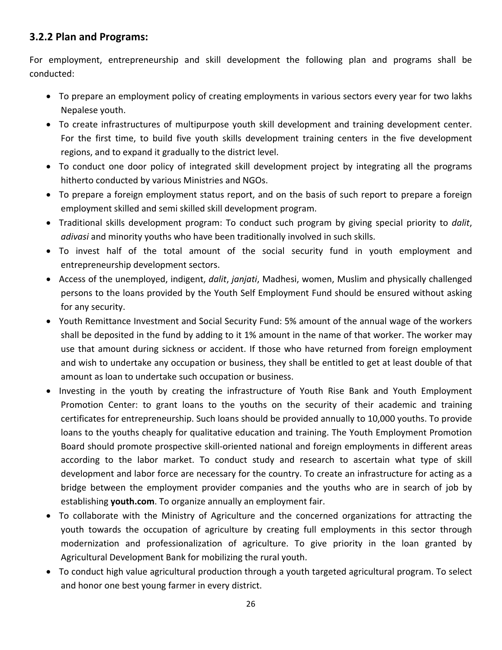### **3.2.2 Plan and Programs:**

For employment, entrepreneurship and skill development the following plan and programs shall be conducted:

- To prepare an employment policy of creating employments in various sectors every year for two lakhs Nepalese youth.
- To create infrastructures of multipurpose youth skill development and training development center. For the first time, to build five youth skills development training centers in the five development regions, and to expand it gradually to the district level.
- To conduct one door policy of integrated skill development project by integrating all the programs hitherto conducted by various Ministries and NGOs.
- To prepare a foreign employment status report, and on the basis of such report to prepare a foreign employment skilled and semi skilled skill development program.
- Traditional skills development program: To conduct such program by giving special priority to *dalit*, *adivasi* and minority youths who have been traditionally involved in such skills.
- To invest half of the total amount of the social security fund in youth employment and entrepreneurship development sectors.
- Access of the unemployed, indigent, *dalit*, *janjati*, Madhesi, women, Muslim and physically challenged persons to the loans provided by the Youth Self Employment Fund should be ensured without asking for any security.
- Youth Remittance Investment and Social Security Fund: 5% amount of the annual wage of the workers shall be deposited in the fund by adding to it 1% amount in the name of that worker. The worker may use that amount during sickness or accident. If those who have returned from foreign employment and wish to undertake any occupation or business, they shall be entitled to get at least double of that amount as loan to undertake such occupation or business.
- Investing in the youth by creating the infrastructure of Youth Rise Bank and Youth Employment Promotion Center: to grant loans to the youths on the security of their academic and training certificates for entrepreneurship. Such loans should be provided annually to 10,000 youths. To provide loans to the youths cheaply for qualitative education and training. The Youth Employment Promotion Board should promote prospective skill-oriented national and foreign employments in different areas according to the labor market. To conduct study and research to ascertain what type of skill development and labor force are necessary for the country. To create an infrastructure for acting as a bridge between the employment provider companies and the youths who are in search of job by establishing **youth.com**. To organize annually an employment fair.
- To collaborate with the Ministry of Agriculture and the concerned organizations for attracting the youth towards the occupation of agriculture by creating full employments in this sector through modernization and professionalization of agriculture. To give priority in the loan granted by Agricultural Development Bank for mobilizing the rural youth.
- To conduct high value agricultural production through a youth targeted agricultural program. To select and honor one best young farmer in every district.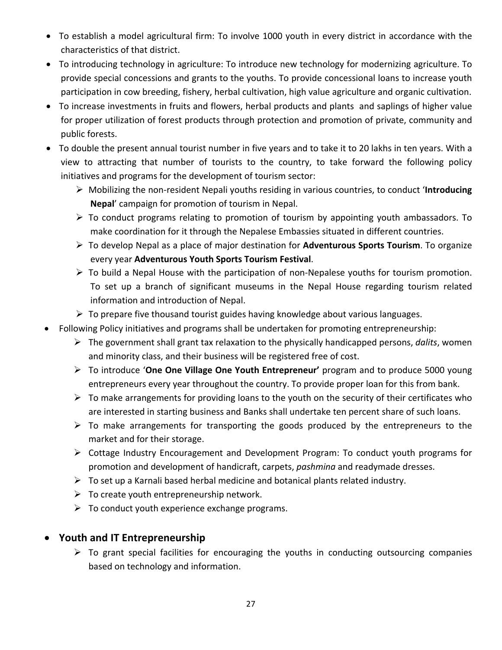- To establish a model agricultural firm: To involve 1000 youth in every district in accordance with the characteristics of that district.
- To introducing technology in agriculture: To introduce new technology for modernizing agriculture. To provide special concessions and grants to the youths. To provide concessional loans to increase youth participation in cow breeding, fishery, herbal cultivation, high value agriculture and organic cultivation.
- To increase investments in fruits and flowers, herbal products and plants and saplings of higher value for proper utilization of forest products through protection and promotion of private, community and public forests.
- To double the present annual tourist number in five years and to take it to 20 lakhs in ten years. With a view to attracting that number of tourists to the country, to take forward the following policy initiatives and programs for the development of tourism sector:
	- Mobilizing the non-resident Nepali youths residing in various countries, to conduct '**Introducing Nepal**' campaign for promotion of tourism in Nepal.
	- $\triangleright$  To conduct programs relating to promotion of tourism by appointing youth ambassadors. To make coordination for it through the Nepalese Embassies situated in different countries.
	- To develop Nepal as a place of major destination for **Adventurous Sports Tourism**. To organize every year **Adventurous Youth Sports Tourism Festival**.
	- $\triangleright$  To build a Nepal House with the participation of non-Nepalese youths for tourism promotion. To set up a branch of significant museums in the Nepal House regarding tourism related information and introduction of Nepal.
	- $\triangleright$  To prepare five thousand tourist guides having knowledge about various languages.
- Following Policy initiatives and programs shall be undertaken for promoting entrepreneurship:
	- The government shall grant tax relaxation to the physically handicapped persons, *dalits*, women and minority class, and their business will be registered free of cost.
	- To introduce '**One One Village One Youth Entrepreneur'** program and to produce 5000 young entrepreneurs every year throughout the country. To provide proper loan for this from bank.
	- $\triangleright$  To make arrangements for providing loans to the youth on the security of their certificates who are interested in starting business and Banks shall undertake ten percent share of such loans.
	- $\triangleright$  To make arrangements for transporting the goods produced by the entrepreneurs to the market and for their storage.
	- Cottage Industry Encouragement and Development Program: To conduct youth programs for promotion and development of handicraft, carpets, *pashmina* and readymade dresses.
	- $\triangleright$  To set up a Karnali based herbal medicine and botanical plants related industry.
	- $\triangleright$  To create youth entrepreneurship network.
	- $\triangleright$  To conduct youth experience exchange programs.

### • **Youth and IT Entrepreneurship**

 $\triangleright$  To grant special facilities for encouraging the youths in conducting outsourcing companies based on technology and information.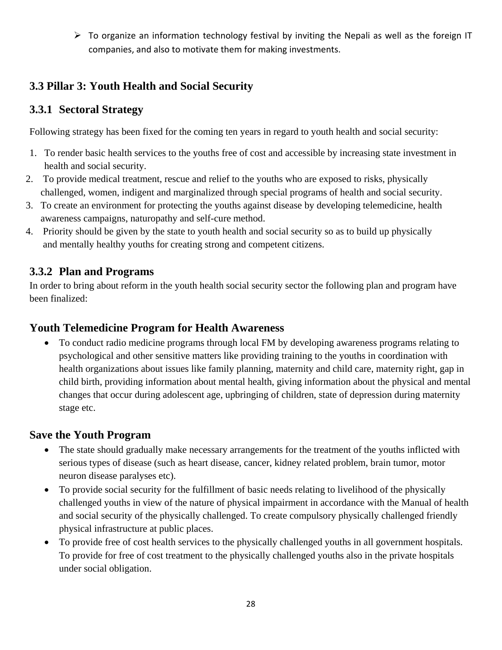$\triangleright$  To organize an information technology festival by inviting the Nepali as well as the foreign IT companies, and also to motivate them for making investments.

# **3.3 Pillar 3: Youth Health and Social Security**

## **3.3.1 Sectoral Strategy**

Following strategy has been fixed for the coming ten years in regard to youth health and social security:

- 1. To render basic health services to the youths free of cost and accessible by increasing state investment in health and social security.
- 2. To provide medical treatment, rescue and relief to the youths who are exposed to risks, physically challenged, women, indigent and marginalized through special programs of health and social security.
- 3. To create an environment for protecting the youths against disease by developing telemedicine, health awareness campaigns, naturopathy and self-cure method.
- 4. Priority should be given by the state to youth health and social security so as to build up physically and mentally healthy youths for creating strong and competent citizens.

## **3.3.2 Plan and Programs**

In order to bring about reform in the youth health social security sector the following plan and program have been finalized:

### **Youth Telemedicine Program for Health Awareness**

• To conduct radio medicine programs through local FM by developing awareness programs relating to psychological and other sensitive matters like providing training to the youths in coordination with health organizations about issues like family planning, maternity and child care, maternity right, gap in child birth, providing information about mental health, giving information about the physical and mental changes that occur during adolescent age, upbringing of children, state of depression during maternity stage etc.

# **Save the Youth Program**

- The state should gradually make necessary arrangements for the treatment of the youths inflicted with serious types of disease (such as heart disease, cancer, kidney related problem, brain tumor, motor neuron disease paralyses etc).
- To provide social security for the fulfillment of basic needs relating to livelihood of the physically challenged youths in view of the nature of physical impairment in accordance with the Manual of health and social security of the physically challenged. To create compulsory physically challenged friendly physical infrastructure at public places.
- To provide free of cost health services to the physically challenged youths in all government hospitals. To provide for free of cost treatment to the physically challenged youths also in the private hospitals under social obligation.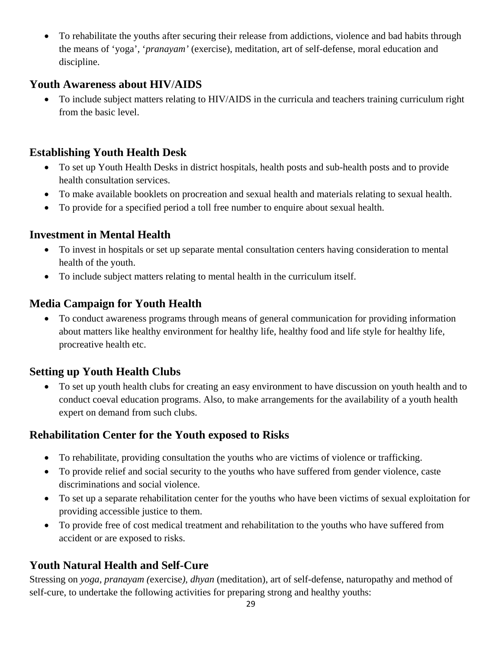• To rehabilitate the youths after securing their release from addictions, violence and bad habits through the means of 'yoga', '*pranayam'* (exercise), meditation, art of self-defense, moral education and discipline.

### **Youth Awareness about HIV**/**AIDS**

• To include subject matters relating to HIV/AIDS in the curricula and teachers training curriculum right from the basic level.

# **Establishing Youth Health Desk**

- To set up Youth Health Desks in district hospitals, health posts and sub-health posts and to provide health consultation services.
- To make available booklets on procreation and sexual health and materials relating to sexual health.
- To provide for a specified period a toll free number to enquire about sexual health.

### **Investment in Mental Health**

- To invest in hospitals or set up separate mental consultation centers having consideration to mental health of the youth.
- To include subject matters relating to mental health in the curriculum itself.

# **Media Campaign for Youth Health**

• To conduct awareness programs through means of general communication for providing information about matters like healthy environment for healthy life, healthy food and life style for healthy life, procreative health etc.

# **Setting up Youth Health Clubs**

• To set up youth health clubs for creating an easy environment to have discussion on youth health and to conduct coeval education programs. Also, to make arrangements for the availability of a youth health expert on demand from such clubs.

# **Rehabilitation Center for the Youth exposed to Risks**

- To rehabilitate, providing consultation the youths who are victims of violence or trafficking.
- To provide relief and social security to the youths who have suffered from gender violence, caste discriminations and social violence.
- To set up a separate rehabilitation center for the youths who have been victims of sexual exploitation for providing accessible justice to them.
- To provide free of cost medical treatment and rehabilitation to the youths who have suffered from accident or are exposed to risks.

# **Youth Natural Health and Self-Cure**

Stressing on *yoga*, *pranayam (*exercise*)*, *dhyan* (meditation), art of self-defense, naturopathy and method of self-cure, to undertake the following activities for preparing strong and healthy youths: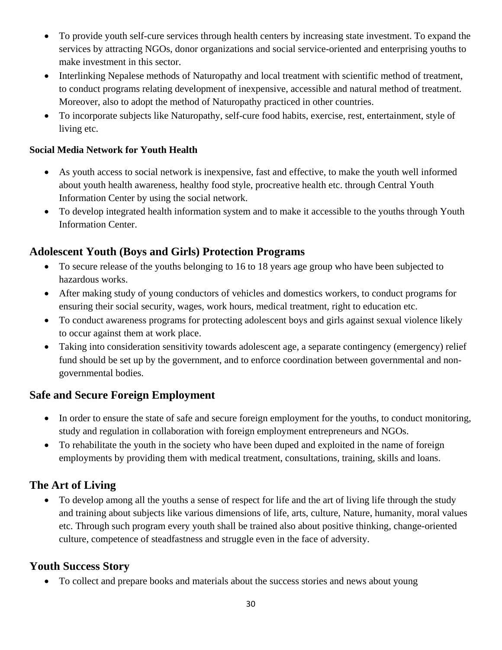- To provide youth self-cure services through health centers by increasing state investment. To expand the services by attracting NGOs, donor organizations and social service-oriented and enterprising youths to make investment in this sector.
- Interlinking Nepalese methods of Naturopathy and local treatment with scientific method of treatment, to conduct programs relating development of inexpensive, accessible and natural method of treatment. Moreover, also to adopt the method of Naturopathy practiced in other countries.
- To incorporate subjects like Naturopathy, self-cure food habits, exercise, rest, entertainment, style of living etc.

#### **Social Media Network for Youth Health**

- As youth access to social network is inexpensive, fast and effective, to make the youth well informed about youth health awareness, healthy food style, procreative health etc. through Central Youth Information Center by using the social network.
- To develop integrated health information system and to make it accessible to the youths through Youth Information Center.

### **Adolescent Youth (Boys and Girls) Protection Programs**

- To secure release of the youths belonging to 16 to 18 years age group who have been subjected to hazardous works.
- After making study of young conductors of vehicles and domestics workers, to conduct programs for ensuring their social security, wages, work hours, medical treatment, right to education etc.
- To conduct awareness programs for protecting adolescent boys and girls against sexual violence likely to occur against them at work place.
- Taking into consideration sensitivity towards adolescent age, a separate contingency (emergency) relief fund should be set up by the government, and to enforce coordination between governmental and nongovernmental bodies.

### **Safe and Secure Foreign Employment**

- In order to ensure the state of safe and secure foreign employment for the youths, to conduct monitoring, study and regulation in collaboration with foreign employment entrepreneurs and NGOs.
- To rehabilitate the youth in the society who have been duped and exploited in the name of foreign employments by providing them with medical treatment, consultations, training, skills and loans.

### **The Art of Living**

• To develop among all the youths a sense of respect for life and the art of living life through the study and training about subjects like various dimensions of life, arts, culture, Nature, humanity, moral values etc. Through such program every youth shall be trained also about positive thinking, change-oriented culture, competence of steadfastness and struggle even in the face of adversity.

### **Youth Success Story**

• To collect and prepare books and materials about the success stories and news about young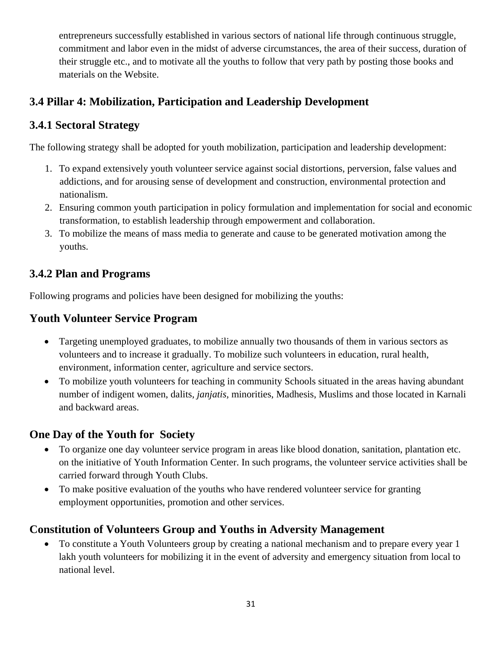entrepreneurs successfully established in various sectors of national life through continuous struggle, commitment and labor even in the midst of adverse circumstances, the area of their success, duration of their struggle etc., and to motivate all the youths to follow that very path by posting those books and materials on the Website.

# **3.4 Pillar 4: Mobilization, Participation and Leadership Development**

## **3.4.1 Sectoral Strategy**

The following strategy shall be adopted for youth mobilization, participation and leadership development:

- 1. To expand extensively youth volunteer service against social distortions, perversion, false values and addictions, and for arousing sense of development and construction, environmental protection and nationalism.
- 2. Ensuring common youth participation in policy formulation and implementation for social and economic transformation, to establish leadership through empowerment and collaboration.
- 3. To mobilize the means of mass media to generate and cause to be generated motivation among the youths.

## **3.4.2 Plan and Programs**

Following programs and policies have been designed for mobilizing the youths:

### **Youth Volunteer Service Program**

- Targeting unemployed graduates, to mobilize annually two thousands of them in various sectors as volunteers and to increase it gradually. To mobilize such volunteers in education, rural health, environment, information center, agriculture and service sectors.
- To mobilize youth volunteers for teaching in community Schools situated in the areas having abundant number of indigent women, dalits, *janjatis,* minorities, Madhesis, Muslims and those located in Karnali and backward areas.

### **One Day of the Youth for Society**

- To organize one day volunteer service program in areas like blood donation, sanitation, plantation etc. on the initiative of Youth Information Center. In such programs, the volunteer service activities shall be carried forward through Youth Clubs.
- To make positive evaluation of the youths who have rendered volunteer service for granting employment opportunities, promotion and other services.

### **Constitution of Volunteers Group and Youths in Adversity Management**

• To constitute a Youth Volunteers group by creating a national mechanism and to prepare every year 1 lakh youth volunteers for mobilizing it in the event of adversity and emergency situation from local to national level.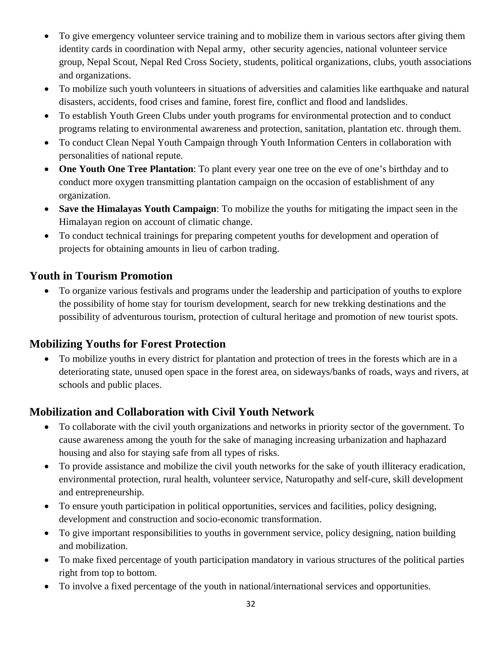- To give emergency volunteer service training and to mobilize them in various sectors after giving them identity cards in coordination with Nepal army, other security agencies, national volunteer service group, Nepal Scout, Nepal Red Cross Society, students, political organizations, clubs, youth associations and organizations.
- To mobilize such youth volunteers in situations of adversities and calamities like earthquake and natural disasters, accidents, food crises and famine, forest fire, conflict and flood and landslides.
- To establish Youth Green Clubs under youth programs for environmental protection and to conduct programs relating to environmental awareness and protection, sanitation, plantation etc. through them.
- To conduct Clean Nepal Youth Campaign through Youth Information Centers in collaboration with personalities of national repute.
- **One Youth One Tree Plantation**: To plant every year one tree on the eve of one's birthday and to conduct more oxygen transmitting plantation campaign on the occasion of establishment of any organization.
- **Save the Himalayas Youth Campaign**: To mobilize the youths for mitigating the impact seen in the Himalayan region on account of climatic change.
- To conduct technical trainings for preparing competent youths for development and operation of projects for obtaining amounts in lieu of carbon trading.

## **Youth in Tourism Promotion**

• To organize various festivals and programs under the leadership and participation of youths to explore the possibility of home stay for tourism development, search for new trekking destinations and the possibility of adventurous tourism, protection of cultural heritage and promotion of new tourist spots.

### **Mobilizing Youths for Forest Protection**

• To mobilize youths in every district for plantation and protection of trees in the forests which are in a deteriorating state, unused open space in the forest area, on sideways/banks of roads, ways and rivers, at schools and public places.

# **Mobilization and Collaboration with Civil Youth Network**

- To collaborate with the civil youth organizations and networks in priority sector of the government. To cause awareness among the youth for the sake of managing increasing urbanization and haphazard housing and also for staying safe from all types of risks.
- To provide assistance and mobilize the civil youth networks for the sake of youth illiteracy eradication, environmental protection, rural health, volunteer service, Naturopathy and self-cure, skill development and entrepreneurship.
- To ensure youth participation in political opportunities, services and facilities, policy designing, development and construction and socio-economic transformation.
- To give important responsibilities to youths in government service, policy designing, nation building and mobilization.
- To make fixed percentage of youth participation mandatory in various structures of the political parties right from top to bottom.
- To involve a fixed percentage of the youth in national/international services and opportunities.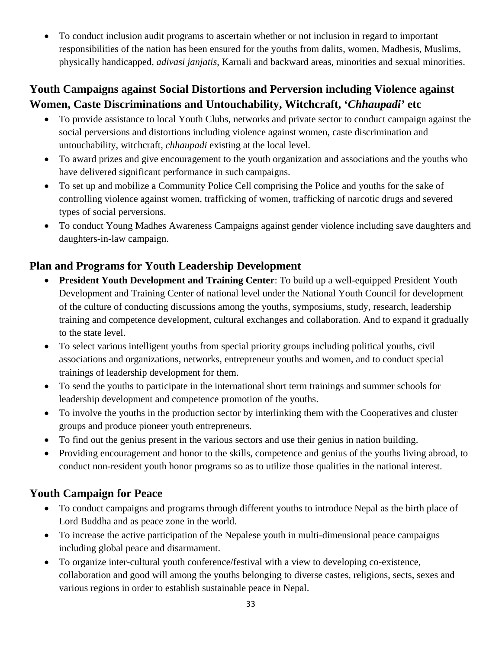• To conduct inclusion audit programs to ascertain whether or not inclusion in regard to important responsibilities of the nation has been ensured for the youths from dalits, women, Madhesis, Muslims, physically handicapped, *adivasi janjatis*, Karnali and backward areas, minorities and sexual minorities.

# **Youth Campaigns against Social Distortions and Perversion including Violence against Women, Caste Discriminations and Untouchability, Witchcraft, '***Chhaupadi'* **etc**

- To provide assistance to local Youth Clubs, networks and private sector to conduct campaign against the social perversions and distortions including violence against women, caste discrimination and untouchability, witchcraft, *chhaupadi* existing at the local level.
- To award prizes and give encouragement to the youth organization and associations and the youths who have delivered significant performance in such campaigns.
- To set up and mobilize a Community Police Cell comprising the Police and youths for the sake of controlling violence against women, trafficking of women, trafficking of narcotic drugs and severed types of social perversions.
- To conduct Young Madhes Awareness Campaigns against gender violence including save daughters and daughters-in-law campaign.

# **Plan and Programs for Youth Leadership Development**

- **President Youth Development and Training Center**: To build up a well-equipped President Youth Development and Training Center of national level under the National Youth Council for development of the culture of conducting discussions among the youths, symposiums, study, research, leadership training and competence development, cultural exchanges and collaboration. And to expand it gradually to the state level.
- To select various intelligent youths from special priority groups including political youths, civil associations and organizations, networks, entrepreneur youths and women, and to conduct special trainings of leadership development for them.
- To send the youths to participate in the international short term trainings and summer schools for leadership development and competence promotion of the youths.
- To involve the youths in the production sector by interlinking them with the Cooperatives and cluster groups and produce pioneer youth entrepreneurs.
- To find out the genius present in the various sectors and use their genius in nation building.
- Providing encouragement and honor to the skills, competence and genius of the youths living abroad, to conduct non-resident youth honor programs so as to utilize those qualities in the national interest.

# **Youth Campaign for Peace**

- To conduct campaigns and programs through different youths to introduce Nepal as the birth place of Lord Buddha and as peace zone in the world.
- To increase the active participation of the Nepalese youth in multi-dimensional peace campaigns including global peace and disarmament.
- To organize inter-cultural youth conference/festival with a view to developing co-existence, collaboration and good will among the youths belonging to diverse castes, religions, sects, sexes and various regions in order to establish sustainable peace in Nepal.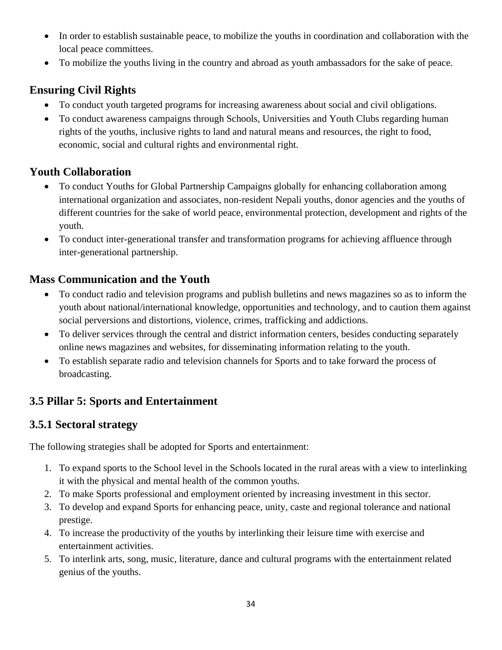- In order to establish sustainable peace, to mobilize the youths in coordination and collaboration with the local peace committees.
- To mobilize the youths living in the country and abroad as youth ambassadors for the sake of peace.

# **Ensuring Civil Rights**

- To conduct youth targeted programs for increasing awareness about social and civil obligations.
- To conduct awareness campaigns through Schools, Universities and Youth Clubs regarding human rights of the youths, inclusive rights to land and natural means and resources, the right to food, economic, social and cultural rights and environmental right.

# **Youth Collaboration**

- To conduct Youths for Global Partnership Campaigns globally for enhancing collaboration among international organization and associates, non-resident Nepali youths, donor agencies and the youths of different countries for the sake of world peace, environmental protection, development and rights of the youth.
- To conduct inter-generational transfer and transformation programs for achieving affluence through inter-generational partnership.

# **Mass Communication and the Youth**

- To conduct radio and television programs and publish bulletins and news magazines so as to inform the youth about national/international knowledge, opportunities and technology, and to caution them against social perversions and distortions, violence, crimes, trafficking and addictions.
- To deliver services through the central and district information centers, besides conducting separately online news magazines and websites, for disseminating information relating to the youth.
- To establish separate radio and television channels for Sports and to take forward the process of broadcasting.

# **3.5 Pillar 5: Sports and Entertainment**

### **3.5.1 Sectoral strategy**

The following strategies shall be adopted for Sports and entertainment:

- 1. To expand sports to the School level in the Schools located in the rural areas with a view to interlinking it with the physical and mental health of the common youths.
- 2. To make Sports professional and employment oriented by increasing investment in this sector.
- 3. To develop and expand Sports for enhancing peace, unity, caste and regional tolerance and national prestige.
- 4. To increase the productivity of the youths by interlinking their leisure time with exercise and entertainment activities.
- 5. To interlink arts, song, music, literature, dance and cultural programs with the entertainment related genius of the youths.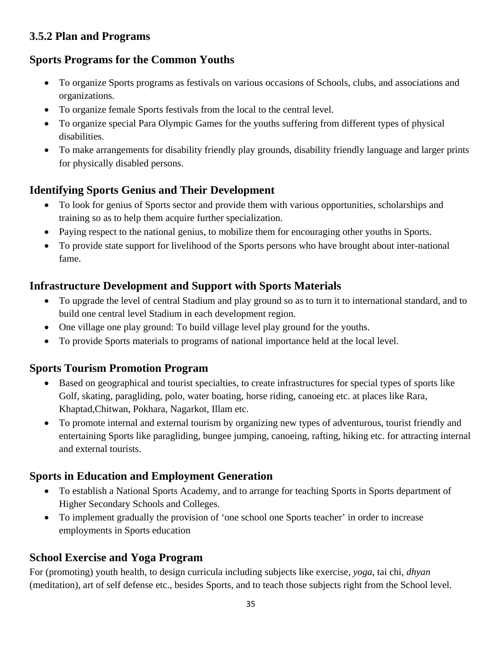### **3.5.2 Plan and Programs**

# **Sports Programs for the Common Youths**

- To organize Sports programs as festivals on various occasions of Schools, clubs, and associations and organizations.
- To organize female Sports festivals from the local to the central level.
- To organize special Para Olympic Games for the youths suffering from different types of physical disabilities.
- To make arrangements for disability friendly play grounds, disability friendly language and larger prints for physically disabled persons.

# **Identifying Sports Genius and Their Development**

- To look for genius of Sports sector and provide them with various opportunities, scholarships and training so as to help them acquire further specialization.
- Paying respect to the national genius, to mobilize them for encouraging other youths in Sports.
- To provide state support for livelihood of the Sports persons who have brought about inter-national fame.

# **Infrastructure Development and Support with Sports Materials**

- To upgrade the level of central Stadium and play ground so as to turn it to international standard, and to build one central level Stadium in each development region.
- One village one play ground: To build village level play ground for the youths.
- To provide Sports materials to programs of national importance held at the local level.

# **Sports Tourism Promotion Program**

- Based on geographical and tourist specialties, to create infrastructures for special types of sports like Golf, skating, paragliding, polo, water boating, horse riding, canoeing etc. at places like Rara, Khaptad,Chitwan, Pokhara, Nagarkot, Illam etc.
- To promote internal and external tourism by organizing new types of adventurous, tourist friendly and entertaining Sports like paragliding, bungee jumping, canoeing, rafting, hiking etc. for attracting internal and external tourists.

# **Sports in Education and Employment Generation**

- To establish a National Sports Academy, and to arrange for teaching Sports in Sports department of Higher Secondary Schools and Colleges.
- To implement gradually the provision of 'one school one Sports teacher' in order to increase employments in Sports education

# **School Exercise and Yoga Program**

For (promoting) youth health, to design curricula including subjects like exercise, *yoga*, tai chi, *dhyan* (meditation), art of self defense etc., besides Sports, and to teach those subjects right from the School level.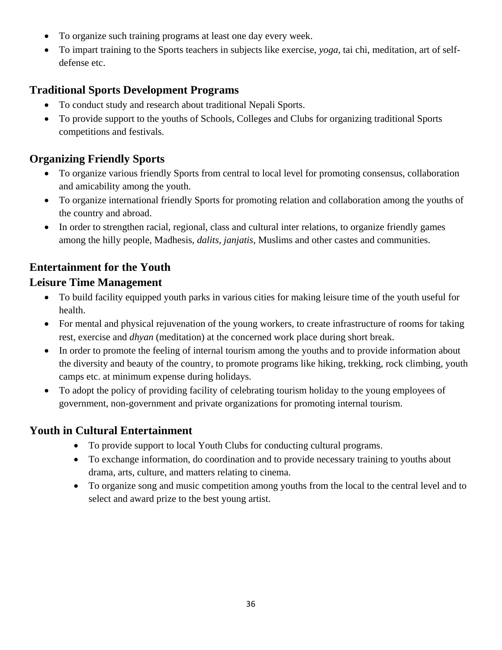- To organize such training programs at least one day every week.
- To impart training to the Sports teachers in subjects like exercise, *yoga*, tai chi, meditation, art of selfdefense etc.

# **Traditional Sports Development Programs**

- To conduct study and research about traditional Nepali Sports.
- To provide support to the youths of Schools, Colleges and Clubs for organizing traditional Sports competitions and festivals.

# **Organizing Friendly Sports**

- To organize various friendly Sports from central to local level for promoting consensus, collaboration and amicability among the youth.
- To organize international friendly Sports for promoting relation and collaboration among the youths of the country and abroad.
- In order to strengthen racial, regional, class and cultural inter relations, to organize friendly games among the hilly people, Madhesis, *dalits*, *janjatis*, Muslims and other castes and communities.

# **Entertainment for the Youth**

### **Leisure Time Management**

- To build facility equipped youth parks in various cities for making leisure time of the youth useful for health.
- For mental and physical rejuvenation of the young workers, to create infrastructure of rooms for taking rest, exercise and *dhyan* (meditation) at the concerned work place during short break.
- In order to promote the feeling of internal tourism among the youths and to provide information about the diversity and beauty of the country, to promote programs like hiking, trekking, rock climbing, youth camps etc. at minimum expense during holidays.
- To adopt the policy of providing facility of celebrating tourism holiday to the young employees of government, non-government and private organizations for promoting internal tourism.

### **Youth in Cultural Entertainment**

- To provide support to local Youth Clubs for conducting cultural programs.
- To exchange information, do coordination and to provide necessary training to youths about drama, arts, culture, and matters relating to cinema.
- To organize song and music competition among youths from the local to the central level and to select and award prize to the best young artist.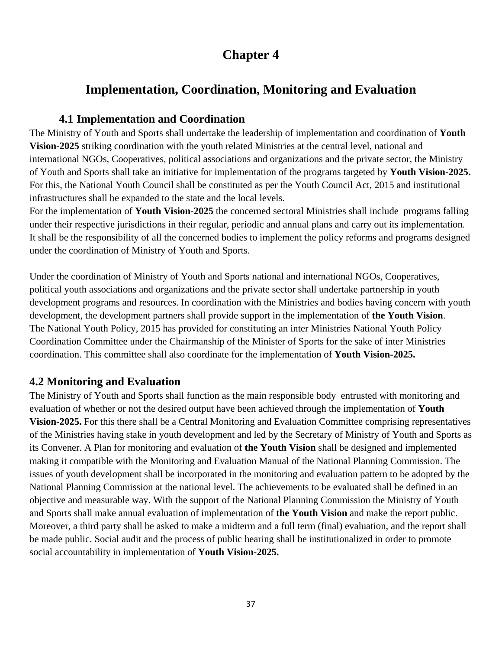# **Chapter 4**

# **Implementation, Coordination, Monitoring and Evaluation**

### **4.1 Implementation and Coordination**

The Ministry of Youth and Sports shall undertake the leadership of implementation and coordination of **Youth Vision-2025** striking coordination with the youth related Ministries at the central level, national and international NGOs, Cooperatives, political associations and organizations and the private sector, the Ministry of Youth and Sports shall take an initiative for implementation of the programs targeted by **Youth Vision-2025.**  For this, the National Youth Council shall be constituted as per the Youth Council Act, 2015 and institutional infrastructures shall be expanded to the state and the local levels.

For the implementation of **Youth Vision-2025** the concerned sectoral Ministries shall include programs falling under their respective jurisdictions in their regular, periodic and annual plans and carry out its implementation. It shall be the responsibility of all the concerned bodies to implement the policy reforms and programs designed under the coordination of Ministry of Youth and Sports.

Under the coordination of Ministry of Youth and Sports national and international NGOs, Cooperatives, political youth associations and organizations and the private sector shall undertake partnership in youth development programs and resources. In coordination with the Ministries and bodies having concern with youth development, the development partners shall provide support in the implementation of **the Youth Vision**. The National Youth Policy, 2015 has provided for constituting an inter Ministries National Youth Policy Coordination Committee under the Chairmanship of the Minister of Sports for the sake of inter Ministries coordination. This committee shall also coordinate for the implementation of **Youth Vision-2025.**

### **4.2 Monitoring and Evaluation**

The Ministry of Youth and Sports shall function as the main responsible body entrusted with monitoring and evaluation of whether or not the desired output have been achieved through the implementation of **Youth Vision-2025.** For this there shall be a Central Monitoring and Evaluation Committee comprising representatives of the Ministries having stake in youth development and led by the Secretary of Ministry of Youth and Sports as its Convener. A Plan for monitoring and evaluation of **the Youth Vision** shall be designed and implemented making it compatible with the Monitoring and Evaluation Manual of the National Planning Commission. The issues of youth development shall be incorporated in the monitoring and evaluation pattern to be adopted by the National Planning Commission at the national level. The achievements to be evaluated shall be defined in an objective and measurable way. With the support of the National Planning Commission the Ministry of Youth and Sports shall make annual evaluation of implementation of **the Youth Vision** and make the report public. Moreover, a third party shall be asked to make a midterm and a full term (final) evaluation, and the report shall be made public. Social audit and the process of public hearing shall be institutionalized in order to promote social accountability in implementation of **Youth Vision-2025.**